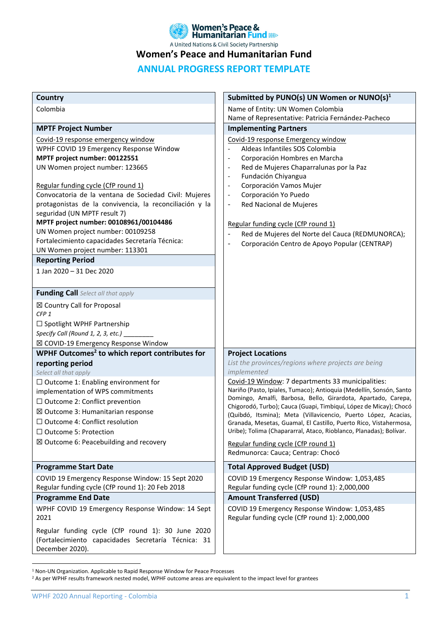

**Women's Peace and Humanitarian Fund** 

# **ANNUAL PROGRESS REPORT TEMPLATE**

| Country                                                                                                                                                                                                                                                                                                                                                                                                                                                                                                                                                                                                        | Submitted by PUNO(s) UN Women or $NUMO(s)^1$                                                                                                                                                                                                                                                                                                                                                                                                                                                                                                      |
|----------------------------------------------------------------------------------------------------------------------------------------------------------------------------------------------------------------------------------------------------------------------------------------------------------------------------------------------------------------------------------------------------------------------------------------------------------------------------------------------------------------------------------------------------------------------------------------------------------------|---------------------------------------------------------------------------------------------------------------------------------------------------------------------------------------------------------------------------------------------------------------------------------------------------------------------------------------------------------------------------------------------------------------------------------------------------------------------------------------------------------------------------------------------------|
| Colombia                                                                                                                                                                                                                                                                                                                                                                                                                                                                                                                                                                                                       | Name of Entity: UN Women Colombia                                                                                                                                                                                                                                                                                                                                                                                                                                                                                                                 |
|                                                                                                                                                                                                                                                                                                                                                                                                                                                                                                                                                                                                                | Name of Representative: Patricia Fernández-Pacheco                                                                                                                                                                                                                                                                                                                                                                                                                                                                                                |
| <b>MPTF Project Number</b>                                                                                                                                                                                                                                                                                                                                                                                                                                                                                                                                                                                     | <b>Implementing Partners</b>                                                                                                                                                                                                                                                                                                                                                                                                                                                                                                                      |
| Covid-19 response emergency window<br>WPHF COVID 19 Emergency Response Window<br>MPTF project number: 00122551<br>UN Women project number: 123665<br>Regular funding cycle (CfP round 1)<br>Convocatoria de la ventana de Sociedad Civil: Mujeres<br>protagonistas de la convivencia, la reconciliación y la<br>seguridad (UN MPTF result 7)<br>MPTF project number: 00108961/00104486<br>UN Women project number: 00109258<br>Fortalecimiento capacidades Secretaría Técnica:<br>UN Women project number: 113301<br><b>Reporting Period</b><br>1 Jan 2020 - 31 Dec 2020<br>Funding Call Select all that apply | Covid-19 response Emergency window<br>Aldeas Infantiles SOS Colombia<br>Corporación Hombres en Marcha<br>Red de Mujeres Chaparralunas por la Paz<br>Fundación Chiyangua<br>$\overline{\phantom{0}}$<br>Corporación Vamos Mujer<br>$\overline{\phantom{0}}$<br>Corporación Yo Puedo<br>$\overline{\phantom{0}}$<br>Red Nacional de Mujeres<br>$\overline{\phantom{0}}$<br>Regular funding cycle (CfP round 1)<br>Red de Mujeres del Norte del Cauca (REDMUNORCA);<br>$\qquad \qquad \blacksquare$<br>Corporación Centro de Apoyo Popular (CENTRAP) |
| ⊠ Country Call for Proposal<br>CFP <sub>1</sub><br>$\square$ Spotlight WPHF Partnership<br>Specify Call (Round 1, 2, 3, etc.) _<br>⊠ COVID-19 Emergency Response Window                                                                                                                                                                                                                                                                                                                                                                                                                                        |                                                                                                                                                                                                                                                                                                                                                                                                                                                                                                                                                   |
| WPHF Outcomes <sup>2</sup> to which report contributes for                                                                                                                                                                                                                                                                                                                                                                                                                                                                                                                                                     | <b>Project Locations</b>                                                                                                                                                                                                                                                                                                                                                                                                                                                                                                                          |
| reporting period                                                                                                                                                                                                                                                                                                                                                                                                                                                                                                                                                                                               | List the provinces/regions where projects are being                                                                                                                                                                                                                                                                                                                                                                                                                                                                                               |
| Select all that apply<br>$\Box$ Outcome 1: Enabling environment for                                                                                                                                                                                                                                                                                                                                                                                                                                                                                                                                            | implemented<br>Covid-19 Window: 7 departments 33 municipalities:                                                                                                                                                                                                                                                                                                                                                                                                                                                                                  |
| implementation of WPS commitments<br>$\Box$ Outcome 2: Conflict prevention<br>⊠ Outcome 3: Humanitarian response<br>$\Box$ Outcome 4: Conflict resolution<br>$\Box$ Outcome 5: Protection<br>$\boxtimes$ Outcome 6: Peacebuilding and recovery                                                                                                                                                                                                                                                                                                                                                                 | Nariño (Pasto, Ipiales, Tumaco); Antioquia (Medellín, Sonsón, Santo<br>Domingo, Amalfi, Barbosa, Bello, Girardota, Apartado, Carepa,<br>Chigorodó, Turbo); Cauca (Guapi, Timbiquí, López de Micay); Chocó<br>(Quibdó, Itsmina); Meta (Villavicencio, Puerto López, Acacias,<br>Granada, Mesetas, Guamal, El Castillo, Puerto Rico, Vistahermosa,<br>Uribe); Tolima (Chapararral, Ataco, Rioblanco, Planadas); Bolívar.<br>Regular funding cycle (CfP round 1)<br>Redmunorca: Cauca; Centrap: Chocó                                                |
| <b>Programme Start Date</b>                                                                                                                                                                                                                                                                                                                                                                                                                                                                                                                                                                                    | <b>Total Approved Budget (USD)</b>                                                                                                                                                                                                                                                                                                                                                                                                                                                                                                                |
| COVID 19 Emergency Response Window: 15 Sept 2020<br>Regular funding cycle (CfP round 1): 20 Feb 2018                                                                                                                                                                                                                                                                                                                                                                                                                                                                                                           | COVID 19 Emergency Response Window: 1,053,485<br>Regular funding cycle (CfP round 1): 2,000,000                                                                                                                                                                                                                                                                                                                                                                                                                                                   |
| <b>Programme End Date</b>                                                                                                                                                                                                                                                                                                                                                                                                                                                                                                                                                                                      | <b>Amount Transferred (USD)</b>                                                                                                                                                                                                                                                                                                                                                                                                                                                                                                                   |
| WPHF COVID 19 Emergency Response Window: 14 Sept<br>2021                                                                                                                                                                                                                                                                                                                                                                                                                                                                                                                                                       | COVID 19 Emergency Response Window: 1,053,485<br>Regular funding cycle (CfP round 1): 2,000,000                                                                                                                                                                                                                                                                                                                                                                                                                                                   |
| Regular funding cycle (CfP round 1): 30 June 2020<br>(Fortalecimiento capacidades Secretaría Técnica: 31<br>December 2020).                                                                                                                                                                                                                                                                                                                                                                                                                                                                                    |                                                                                                                                                                                                                                                                                                                                                                                                                                                                                                                                                   |

<sup>1</sup> Non-UN Organization. Applicable to Rapid Response Window for Peace Processes

<sup>&</sup>lt;sup>2</sup> As per WPHF results framework nested model, WPHF outcome areas are equivalent to the impact level for grantees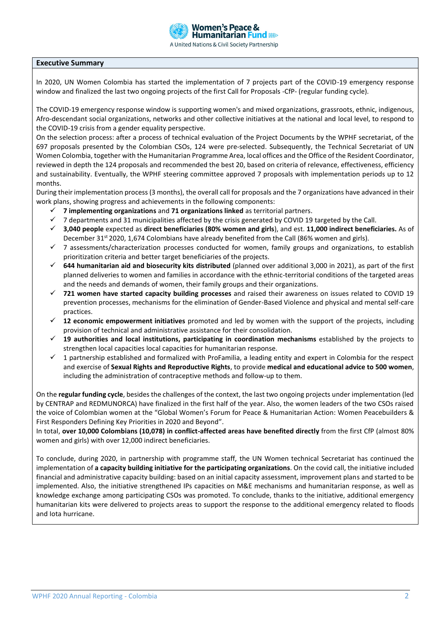

#### **Executive Summary**

In 2020, UN Women Colombia has started the implementation of 7 projects part of the COVID-19 emergency response window and finalized the last two ongoing projects of the first Call for Proposals -CfP- (regular funding cycle).

The COVID-19 emergency response window is supporting women's and mixed organizations, grassroots, ethnic, indigenous, Afro-descendant social organizations, networks and other collective initiatives at the national and local level, to respond to the COVID-19 crisis from a gender equality perspective.

On the selection process: after a process of technical evaluation of the Project Documents by the WPHF secretariat, of the 697 proposals presented by the Colombian CSOs, 124 were pre-selected. Subsequently, the Technical Secretariat of UN Women Colombia, together with the Humanitarian Programme Area, local offices and the Office of the Resident Coordinator, reviewed in depth the 124 proposals and recommended the best 20, based on criteria of relevance, effectiveness, efficiency and sustainability. Eventually, the WPHF steering committee approved 7 proposals with implementation periods up to 12 months.

During their implementation process (3 months), the overall call for proposals and the 7 organizations have advanced in their work plans, showing progress and achievements in the following components:

- ✓ **7 implementing organizations** and **71 organizations linked** as territorial partners.
- 7 departments and 31 municipalities affected by the crisis generated by COVID 19 targeted by the Call.
- ✓ **3,040 people** expected as **direct beneficiaries (80% women and girls**), and est. **11,000 indirect beneficiaries.** As of December  $31^{st}$  2020, 1,674 Colombians have already benefited from the Call (86% women and girls).
- $\checkmark$  7 assessments/characterization processes conducted for women, family groups and organizations, to establish prioritization criteria and better target beneficiaries of the projects.
- ✓ **644 humanitarian aid and biosecurity kits distributed** (planned over additional 3,000 in 2021), as part of the first planned deliveries to women and families in accordance with the ethnic-territorial conditions of the targeted areas and the needs and demands of women, their family groups and their organizations.
- ✓ **721 women have started capacity building processes** and raised their awareness on issues related to COVID 19 prevention processes, mechanisms for the elimination of Gender-Based Violence and physical and mental self-care practices.
- 12 economic empowerment initiatives promoted and led by women with the support of the projects, including provision of technical and administrative assistance for their consolidation.
- ✓ **19 authorities and local institutions, participating in coordination mechanisms** established by the projects to strengthen local capacities local capacities for humanitarian response.
- $\checkmark$  1 partnership established and formalized with ProFamilia, a leading entity and expert in Colombia for the respect and exercise of **Sexual Rights and Reproductive Rights**, to provide **medical and educational advice to 500 women**, including the administration of contraceptive methods and follow-up to them.

On the **regular funding cycle**, besides the challenges of the context, the last two ongoing projects under implementation (led by CENTRAP and REDMUNORCA) have finalized in the first half of the year. Also, the women leaders of the two CSOs raised the voice of Colombian women at the "Global Women's Forum for Peace & Humanitarian Action: Women Peacebuilders & First Responders Defining Key Priorities in 2020 and Beyond".

In total, **over 10,000 Colombians (10,078) in conflict-affected areas have benefited directly** from the first CfP (almost 80% women and girls) with over 12,000 indirect beneficiaries.

To conclude, during 2020, in partnership with programme staff, the UN Women technical Secretariat has continued the implementation of **a capacity building initiative for the participating organizations**. On the covid call, the initiative included financial and administrative capacity building: based on an initial capacity assessment, improvement plans and started to be implemented. Also, the initiative strengthened IPs capacities on M&E mechanisms and humanitarian response, as well as knowledge exchange among participating CSOs was promoted. To conclude, thanks to the initiative, additional emergency humanitarian kits were delivered to projects areas to support the response to the additional emergency related to floods and Iota hurricane.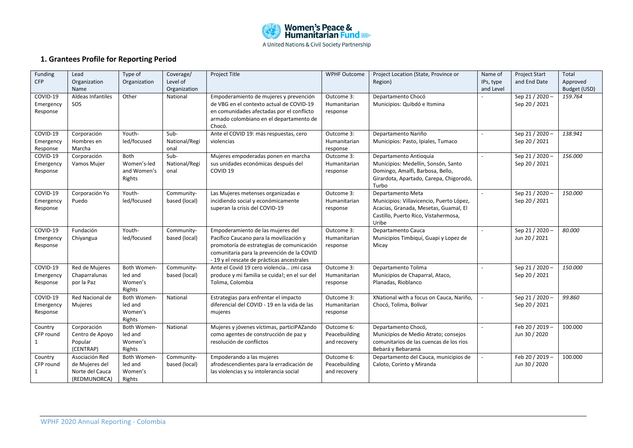

# **1. Grantees Profile for Reporting Period**

| Funding<br>CFP                    | Lead<br>Organization<br>Name                                        | Type of<br>Organization                      | Coverage/<br>Level of<br>Organization | Project Title                                                                                                                                                                                                        | <b>WPHF Outcome</b>                         | Project Location (State, Province or<br>Region)                                                                                                         | Name of<br>IPs, type<br>and Level | <b>Project Start</b><br>and End Date | Total<br>Approved<br>Budget (USD) |
|-----------------------------------|---------------------------------------------------------------------|----------------------------------------------|---------------------------------------|----------------------------------------------------------------------------------------------------------------------------------------------------------------------------------------------------------------------|---------------------------------------------|---------------------------------------------------------------------------------------------------------------------------------------------------------|-----------------------------------|--------------------------------------|-----------------------------------|
| COVID-19<br>Emergency<br>Response | Aldeas Infantiles<br>SOS                                            | Other                                        | National                              | Empoderamiento de mujeres y prevención<br>de VBG en el contexto actual de COVID-19<br>en comunidades afectadas por el conflicto<br>armado colombiano en el departamento de<br>Chocó.                                 | Outcome 3:<br>Humanitarian<br>response      | Departamento Chocó<br>Municipios: Quibdó e Itsmina                                                                                                      |                                   | Sep 21 / 2020 ·<br>Sep 20 / 2021     | 159.764                           |
| COVID-19<br>Emergency<br>Response | Corporación<br>Hombres en<br>Marcha                                 | Youth-<br>led/focused                        | Sub-<br>National/Regi<br>onal         | Ante el COVID 19: más respuestas, cero<br>violencias                                                                                                                                                                 | Outcome 3:<br>Humanitarian<br>response      | Departamento Nariño<br>Municipios: Pasto, Ipiales, Tumaco                                                                                               |                                   | Sep 21 / 2020 ·<br>Sep 20 / 2021     | 138.941                           |
| COVID-19<br>Emergency<br>Response | Corporación<br>Vamos Mujer                                          | Both<br>Women's-led<br>and Women's<br>Rights | Sub-<br>National/Regi<br>onal         | Mujeres empoderadas ponen en marcha<br>sus unidades económicas después del<br>COVID <sub>19</sub>                                                                                                                    | Outcome 3:<br>Humanitarian<br>response      | Departamento Antioquia<br>Municipios: Medellín, Sonsón, Santo<br>Domingo, Amalfi, Barbosa, Bello,<br>Girardota, Apartado, Carepa, Chigorodó,<br>Turbo   | $\overline{a}$                    | Sep 21 / 2020 -<br>Sep 20 / 2021     | 156.000                           |
| COVID-19<br>Emergency<br>Response | Corporación Yo<br>Puedo                                             | Youth-<br>led/focused                        | Community-<br>based (local)           | Las Mujeres metenses organizadas e<br>incidiendo social y económicamente<br>superan la crisis del COVID-19                                                                                                           | Outcome 3:<br>Humanitarian<br>response      | Departamento Meta<br>Municipios: Villavicencio, Puerto López,<br>Acacias, Granada, Mesetas, Guamal, El<br>Castillo, Puerto Rico, Vistahermosa,<br>Uribe | $\overline{a}$                    | Sep 21 / 2020 -<br>Sep 20 / 2021     | 150.000                           |
| COVID-19<br>Emergency<br>Response | Fundación<br>Chiyangua                                              | Youth-<br>led/focused                        | Community-<br>based (local)           | Empoderamiento de las mujeres del<br>Pacífico Caucano para la movilización y<br>promotoría de estrategias de comunicación<br>comunitaria para la prevención de la COVID<br>-19 y el rescate de prácticas ancestrales | Outcome 3:<br>Humanitarian<br>response      | Departamento Cauca<br>Municipios Timbiquí, Guapi y Lopez de<br>Micay                                                                                    | $\sim$                            | Sep 21 / 2020 ·<br>Jun 20 / 2021     | 80.000                            |
| COVID-19<br>Emergency<br>Response | Red de Mujeres<br>Chaparralunas<br>por la Paz                       | Both Women-<br>led and<br>Women's<br>Rights  | Community-<br>based (local)           | Ante el Covid 19 cero violencia ¡mi casa<br>produce y mi familia se cuida!; en el sur del<br>Tolima, Colombia                                                                                                        | Outcome 3:<br>Humanitarian<br>response      | Departamento Tolima<br>Municipios de Chaparral, Ataco,<br>Planadas, Rioblanco                                                                           |                                   | Sep 21 / 2020 -<br>Sep 20 / 2021     | 150.000                           |
| COVID-19<br>Emergency<br>Response | Red Nacional de<br>Mujeres                                          | Both Women-<br>led and<br>Women's<br>Rights  | National                              | Estrategias para enfrentar el impacto<br>diferencial del COVID - 19 en la vida de las<br>mujeres                                                                                                                     | Outcome 3:<br>Humanitarian<br>response      | XNational with a focus on Cauca, Nariño,<br>Chocó, Tolima, Bolívar                                                                                      |                                   | Sep 21 / 2020<br>Sep 20 / 2021       | 99.860                            |
| Country<br>CFP round<br>1         | Corporación<br>Centro de Apoyo<br>Popular<br>(CENTRAP)              | Both Women-<br>led and<br>Women's<br>Rights  | National                              | Mujeres y jóvenes víctimas, particiPAZando<br>como agentes de construcción de paz y<br>resolución de conflictos                                                                                                      | Outcome 6:<br>Peacebuilding<br>and recovery | Departamento Chocó,<br>Municipios de Medio Atrato; consejos<br>comunitarios de las cuencas de los ríos<br>Bebará y Bebaramá                             | $\sim$                            | Feb 20 / 2019 ·<br>Jun 30 / 2020     | 100.000                           |
| Country<br>CFP round<br>1         | Asociación Red<br>de Mujeres del<br>Norte del Cauca<br>(REDMUNORCA) | Both Women-<br>led and<br>Women's<br>Rights  | Community-<br>based (local)           | Empoderando a las mujeres<br>afrodescendientes para la erradicación de<br>las violencias y su intolerancia social                                                                                                    | Outcome 6:<br>Peacebuilding<br>and recovery | Departamento del Cauca, municipios de<br>Caloto, Corinto y Miranda                                                                                      | $\overline{a}$                    | Feb 20 / 2019 -<br>Jun 30 / 2020     | 100.000                           |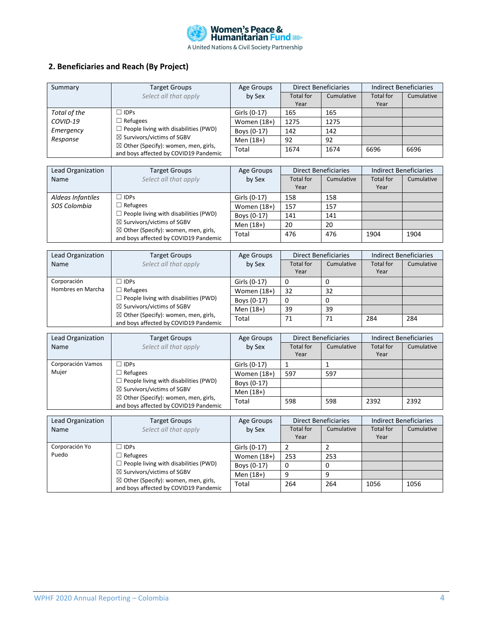

# **2. Beneficiaries and Reach (By Project)**

| Summary      | <b>Target Groups</b>                                                                                                                                                              | Age Groups    | <b>Direct Beneficiaries</b> |            | Indirect Beneficiaries |            |
|--------------|-----------------------------------------------------------------------------------------------------------------------------------------------------------------------------------|---------------|-----------------------------|------------|------------------------|------------|
|              | Select all that apply                                                                                                                                                             | by Sex        | <b>Total for</b>            | Cumulative | <b>Total for</b>       | Cumulative |
|              |                                                                                                                                                                                   |               | Year                        |            | Year                   |            |
| Total of the | $\Box$ IDPs                                                                                                                                                                       | Girls (0-17)  | 165                         | 165        |                        |            |
| COVID-19     | $\Box$ Refugees                                                                                                                                                                   | Women $(18+)$ | 1275                        | 1275       |                        |            |
| Emergency    | $\Box$ People living with disabilities (PWD)<br>$\boxtimes$ Survivors/victims of SGBV<br>$\boxtimes$ Other (Specify): women, men, girls,<br>and boys affected by COVID19 Pandemic | Boys (0-17)   | 142                         | 142        |                        |            |
| Response     |                                                                                                                                                                                   | Men (18+)     | 92                          | 92         |                        |            |
|              |                                                                                                                                                                                   | Total         | 1674                        | 1674       | 6696                   | 6696       |

| Lead Organization                                                                                                                 | <b>Target Groups</b>                                            | Age Groups    |                          | <b>Direct Beneficiaries</b> |                          | <b>Indirect Beneficiaries</b> |  |
|-----------------------------------------------------------------------------------------------------------------------------------|-----------------------------------------------------------------|---------------|--------------------------|-----------------------------|--------------------------|-------------------------------|--|
| Name                                                                                                                              | Select all that apply                                           | by Sex        | <b>Total for</b><br>Year | Cumulative                  | <b>Total for</b><br>Year | Cumulative                    |  |
| Aldeas Infantiles                                                                                                                 | $\Box$ IDPs                                                     | Girls (0-17)  | 158                      | 158                         |                          |                               |  |
| SOS Colombia                                                                                                                      | $\Box$ Refugees<br>$\Box$ People living with disabilities (PWD) | Women $(18+)$ | 157                      | 157                         |                          |                               |  |
|                                                                                                                                   |                                                                 | Boys (0-17)   | 141                      | 141                         |                          |                               |  |
| $\boxtimes$ Survivors/victims of SGBV<br>$\boxtimes$ Other (Specify): women, men, girls,<br>and boys affected by COVID19 Pandemic | Men (18+)                                                       | 20            | 20                       |                             |                          |                               |  |
|                                                                                                                                   |                                                                 | Total         | 476                      | 476                         | 1904                     | 1904                          |  |

| Lead Organization | <b>Target Groups</b>                                                                     | Age Groups    |                          | <b>Direct Beneficiaries</b> |                          | Indirect Beneficiaries |  |
|-------------------|------------------------------------------------------------------------------------------|---------------|--------------------------|-----------------------------|--------------------------|------------------------|--|
| Name              | Select all that apply                                                                    | by Sex        | <b>Total for</b><br>Year | Cumulative                  | <b>Total for</b><br>Year | Cumulative             |  |
| Corporación       | $\Box$ IDPs                                                                              | Girls (0-17)  |                          |                             |                          |                        |  |
| Hombres en Marcha | $\Box$ Refugees<br>$\Box$ People living with disabilities (PWD)                          | Women $(18+)$ | 32                       | 32                          |                          |                        |  |
|                   |                                                                                          | Boys (0-17)   |                          |                             |                          |                        |  |
|                   | $\boxtimes$ Survivors/victims of SGBV                                                    | Men (18+)     | 39                       | 39                          |                          |                        |  |
|                   | $\boxtimes$ Other (Specify): women, men, girls,<br>and boys affected by COVID19 Pandemic | Total         | 71                       | 71                          | 284                      | 284                    |  |

| Lead Organization                               | <b>Target Groups</b>                                            | <b>Direct Beneficiaries</b><br>Age Groups |                  | Indirect Beneficiaries |                  |            |
|-------------------------------------------------|-----------------------------------------------------------------|-------------------------------------------|------------------|------------------------|------------------|------------|
| Name                                            | Select all that apply                                           | by Sex                                    | <b>Total for</b> | Cumulative             | <b>Total for</b> | Cumulative |
|                                                 |                                                                 |                                           | Year             |                        | Year             |            |
| Corporación Vamos                               | $\Box$ IDPs                                                     | Girls (0-17)                              |                  |                        |                  |            |
| Mujer                                           | $\Box$ Refugees<br>$\Box$ People living with disabilities (PWD) | Women $(18+)$                             | 597              | 597                    |                  |            |
|                                                 |                                                                 | Boys (0-17)                               |                  |                        |                  |            |
| $\boxtimes$ Other (Specify): women, men, girls, | $\boxtimes$ Survivors/victims of SGBV                           | Men (18+)                                 |                  |                        |                  |            |
|                                                 | and boys affected by COVID19 Pandemic                           | Total                                     | 598              | 598                    | 2392             | 2392       |

| Lead Organization                                                                                                                 | <b>Target Groups</b>                                            | <b>Direct Beneficiaries</b><br>Age Groups |                          |            | Indirect Beneficiaries |            |
|-----------------------------------------------------------------------------------------------------------------------------------|-----------------------------------------------------------------|-------------------------------------------|--------------------------|------------|------------------------|------------|
| Name                                                                                                                              | Select all that apply                                           | by Sex                                    | <b>Total for</b><br>Year | Cumulative | Total for<br>Year      | Cumulative |
| Corporación Yo                                                                                                                    | $\Box$ IDPs                                                     | Girls (0-17)                              |                          |            |                        |            |
| Puedo                                                                                                                             | $\Box$ Refugees<br>$\Box$ People living with disabilities (PWD) | Women (18+)                               | 253                      | 253        |                        |            |
|                                                                                                                                   |                                                                 | Boys (0-17)                               |                          | 0          |                        |            |
| $\boxtimes$ Survivors/victims of SGBV<br>$\boxtimes$ Other (Specify): women, men, girls,<br>and boys affected by COVID19 Pandemic | Men (18+)                                                       | 9                                         | a                        |            |                        |            |
|                                                                                                                                   |                                                                 | Total                                     | 264                      | 264        | 1056                   | 1056       |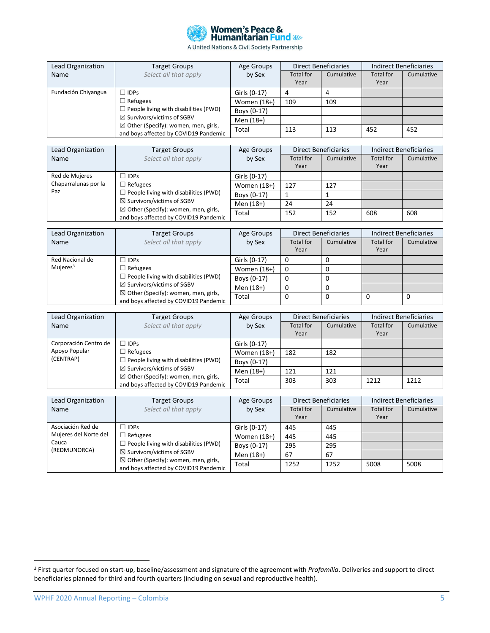

| Lead Organization                                                                                                                 | <b>Target Groups</b>                                            | Age Groups    | <b>Direct Beneficiaries</b> |            | Indirect Beneficiaries   |            |
|-----------------------------------------------------------------------------------------------------------------------------------|-----------------------------------------------------------------|---------------|-----------------------------|------------|--------------------------|------------|
| Name                                                                                                                              | Select all that apply                                           | by Sex        | <b>Total for</b><br>Year    | Cumulative | <b>Total for</b><br>Year | Cumulative |
| Fundación Chiyangua                                                                                                               | $\Box$ IDPs                                                     | Girls (0-17)  | 4                           |            |                          |            |
|                                                                                                                                   | $\Box$ Refugees<br>$\Box$ People living with disabilities (PWD) | Women $(18+)$ | 109                         | 109        |                          |            |
|                                                                                                                                   |                                                                 | Boys (0-17)   |                             |            |                          |            |
| $\boxtimes$ Survivors/victims of SGBV<br>$\boxtimes$ Other (Specify): women, men, girls,<br>and boys affected by COVID19 Pandemic | Men (18+)                                                       |               |                             |            |                          |            |
|                                                                                                                                   | Total                                                           | 113           | 113                         | 452        | 452                      |            |

| Lead Organization           | <b>Target Groups</b>                                                                                                                                                                                 | Age Groups    | <b>Direct Beneficiaries</b> |            | Indirect Beneficiaries   |            |
|-----------------------------|------------------------------------------------------------------------------------------------------------------------------------------------------------------------------------------------------|---------------|-----------------------------|------------|--------------------------|------------|
| Name                        | Select all that apply                                                                                                                                                                                | by Sex        | <b>Total for</b><br>Year    | Cumulative | <b>Total for</b><br>Year | Cumulative |
| Red de Mujeres              | $\Box$ IDPs                                                                                                                                                                                          | Girls (0-17)  |                             |            |                          |            |
| Chaparralunas por la<br>Paz | $\Box$ Refugees<br>$\Box$ People living with disabilities (PWD)<br>$\boxtimes$ Survivors/victims of SGBV<br>$\boxtimes$ Other (Specify): women, men, girls,<br>and boys affected by COVID19 Pandemic | Women $(18+)$ | 127                         | 127        |                          |            |
|                             |                                                                                                                                                                                                      | Boys (0-17)   |                             |            |                          |            |
|                             |                                                                                                                                                                                                      | Men (18+)     | 24                          | 24         |                          |            |
|                             |                                                                                                                                                                                                      | Total         | 152                         | 152        | 608                      | 608        |

| Lead Organization                                                                                                       | <b>Target Groups</b>                                            | Age Groups    | <b>Direct Beneficiaries</b> |            | Indirect Beneficiaries |            |
|-------------------------------------------------------------------------------------------------------------------------|-----------------------------------------------------------------|---------------|-----------------------------|------------|------------------------|------------|
| Name                                                                                                                    | Select all that apply                                           | by Sex        | <b>Total for</b>            | Cumulative | <b>Total for</b>       | Cumulative |
|                                                                                                                         |                                                                 |               | Year                        |            | Year                   |            |
| Red Nacional de                                                                                                         | $\sqcap$ IDPs                                                   | Girls (0-17)  |                             |            |                        |            |
| Mujeres <sup>3</sup>                                                                                                    | $\Box$ Refugees<br>$\Box$ People living with disabilities (PWD) | Women $(18+)$ | 0                           |            |                        |            |
|                                                                                                                         |                                                                 | Boys (0-17)   |                             |            |                        |            |
| ⊠ Survivors/victims of SGBV<br>$\boxtimes$ Other (Specify): women, men, girls,<br>and boys affected by COVID19 Pandemic | Men (18+)                                                       |               |                             |            |                        |            |
|                                                                                                                         |                                                                 | Total         | 0                           | 0          |                        |            |

| Lead Organization                                                                                                                                                                         | <b>Target Groups</b>                  | Age Groups    | <b>Direct Beneficiaries</b> |            | Indirect Beneficiaries   |            |
|-------------------------------------------------------------------------------------------------------------------------------------------------------------------------------------------|---------------------------------------|---------------|-----------------------------|------------|--------------------------|------------|
| Name                                                                                                                                                                                      | Select all that apply                 | by Sex        | <b>Total for</b><br>Year    | Cumulative | <b>Total for</b><br>Year | Cumulative |
|                                                                                                                                                                                           |                                       |               |                             |            |                          |            |
| Corporación Centro de                                                                                                                                                                     | $\Box$ IDPs                           | Girls (0-17)  |                             |            |                          |            |
| Apoyo Popular<br>$\Box$ Refugees<br>(CENTRAP)<br>$\Box$ People living with disabilities (PWD)<br>$\boxtimes$ Survivors/victims of SGBV<br>$\boxtimes$ Other (Specify): women, men, girls, |                                       | Women $(18+)$ | 182                         | 182        |                          |            |
|                                                                                                                                                                                           |                                       | Boys (0-17)   |                             |            |                          |            |
|                                                                                                                                                                                           |                                       | Men (18+)     | 121                         | 121        |                          |            |
|                                                                                                                                                                                           | and boys affected by COVID19 Pandemic | Total         | 303                         | 303        | 1212                     | 1212       |

| Lead Organization                                                                                                                                                                                                                                                                            | <b>Target Groups</b>  | Age Groups    | <b>Direct Beneficiaries</b> |            | <b>Indirect Beneficiaries</b> |            |
|----------------------------------------------------------------------------------------------------------------------------------------------------------------------------------------------------------------------------------------------------------------------------------------------|-----------------------|---------------|-----------------------------|------------|-------------------------------|------------|
| Name                                                                                                                                                                                                                                                                                         | Select all that apply | by Sex        | Total for<br>Year           | Cumulative | Total for<br>Year             | Cumulative |
|                                                                                                                                                                                                                                                                                              |                       |               |                             |            |                               |            |
| Asociación Red de<br>$\sqcap$ IDPs<br>Mujeres del Norte del<br>$\Box$ Refugees<br>Cauca<br>$\Box$ People living with disabilities (PWD)<br>(REDMUNORCA)<br>$\boxtimes$ Survivors/victims of SGBV<br>$\boxtimes$ Other (Specify): women, men, girls,<br>and boys affected by COVID19 Pandemic | Girls (0-17)          | 445           | 445                         |            |                               |            |
|                                                                                                                                                                                                                                                                                              |                       | Women $(18+)$ | 445                         | 445        |                               |            |
|                                                                                                                                                                                                                                                                                              |                       | Boys (0-17)   | 295                         | 295        |                               |            |
|                                                                                                                                                                                                                                                                                              |                       | Men (18+)     | 67                          | 67         |                               |            |
|                                                                                                                                                                                                                                                                                              | Total                 | 1252          | 1252                        | 5008       | 5008                          |            |

<sup>3</sup> First quarter focused on start-up, baseline/assessment and signature of the agreement with *Profamilia*. Deliveries and support to direct beneficiaries planned for third and fourth quarters (including on sexual and reproductive health).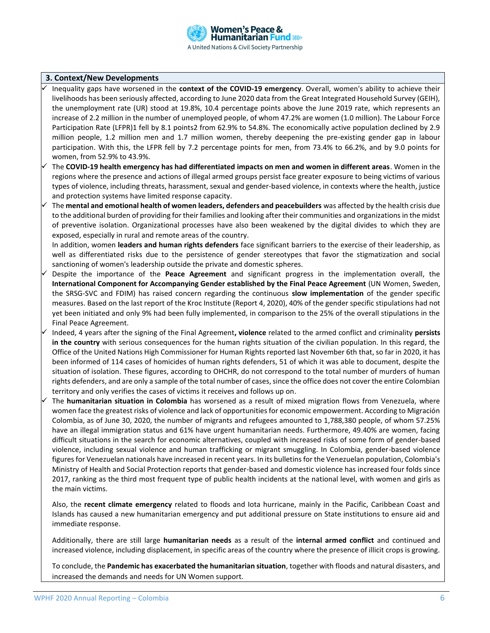### **3. Context/New Developments**

- ✓ Inequality gaps have worsened in the **context of the COVID-19 emergency**. Overall, women's ability to achieve their livelihoods has been seriously affected, according to June 2020 data from the Great Integrated Household Survey (GEIH), the unemployment rate (UR) stood at 19.8%, 10.4 percentage points above the June 2019 rate, which represents an increase of 2.2 million in the number of unemployed people, of whom 47.2% are women (1.0 million). The Labour Force Participation Rate (LFPR)1 fell by 8.1 points2 from 62.9% to 54.8%. The economically active population declined by 2.9 million people, 1.2 million men and 1.7 million women, thereby deepening the pre-existing gender gap in labour participation. With this, the LFPR fell by 7.2 percentage points for men, from 73.4% to 66.2%, and by 9.0 points for women, from 52.9% to 43.9%.
- The **COVID-19 health emergency has had differentiated impacts on men and women in different areas**. Women in the regions where the presence and actions of illegal armed groups persist face greater exposure to being victims of various types of violence, including threats, harassment, sexual and gender-based violence, in contexts where the health, justice and protection systems have limited response capacity.
- The **mental and emotional health of women leaders, defenders and peacebuilders** was affected by the health crisis due to the additional burden of providing for their families and looking after their communities and organizations in the midst of preventive isolation. Organizational processes have also been weakened by the digital divides to which they are exposed, especially in rural and remote areas of the country.

In addition, women **leaders and human rights defenders** face significant barriers to the exercise of their leadership, as well as differentiated risks due to the persistence of gender stereotypes that favor the stigmatization and social sanctioning of women's leadership outside the private and domestic spheres.

- Despite the importance of the **Peace Agreement** and significant progress in the implementation overall, the **International Component for Accompanying Gender established by the Final Peace Agreement** (UN Women, Sweden, the SRSG-SVC and FDIM) has raised concern regarding the continuous **slow implementation** of the gender specific measures. Based on the last report of the Kroc Institute (Report 4, 2020), 40% of the gender specific stipulations had not yet been initiated and only 9% had been fully implemented, in comparison to the 25% of the overall stipulations in the Final Peace Agreement.
- ✓ Indeed, 4 years after the signing of the Final Agreement**, violence** related to the armed conflict and criminality **persists in the country** with serious consequences for the human rights situation of the civilian population. In this regard, the Office of the United Nations High Commissioner for Human Rights reported last November 6th that, so far in 2020, it has been informed of 114 cases of homicides of human rights defenders, 51 of which it was able to document, despite the situation of isolation. These figures, according to OHCHR, do not correspond to the total number of murders of human rights defenders, and are only a sample of the total number of cases, since the office does not cover the entire Colombian territory and only verifies the cases of victims it receives and follows up on.
- The **humanitarian situation in Colombia** has worsened as a result of mixed migration flows from Venezuela, where women face the greatest risks of violence and lack of opportunities for economic empowerment. According to Migración Colombia, as of June 30, 2020, the number of migrants and refugees amounted to 1,788,380 people, of whom 57.25% have an illegal immigration status and 61% have urgent humanitarian needs. Furthermore, 49.40% are women, facing difficult situations in the search for economic alternatives, coupled with increased risks of some form of gender-based violence, including sexual violence and human trafficking or migrant smuggling. In Colombia, gender-based violence figures for Venezuelan nationals have increased in recent years. In its bulletins for the Venezuelan population, Colombia's Ministry of Health and Social Protection reports that gender-based and domestic violence has increased four folds since 2017, ranking as the third most frequent type of public health incidents at the national level, with women and girls as the main victims.

Also, the **recent climate emergency** related to floods and Iota hurricane, mainly in the Pacific, Caribbean Coast and Islands has caused a new humanitarian emergency and put additional pressure on State institutions to ensure aid and immediate response.

Additionally, there are still large **humanitarian needs** as a result of the **internal armed conflict** and continued and increased violence, including displacement, in specific areas of the country where the presence of illicit crops is growing.

To conclude, the **Pandemic has exacerbated the humanitarian situation**, together with floods and natural disasters, and increased the demands and needs for UN Women support.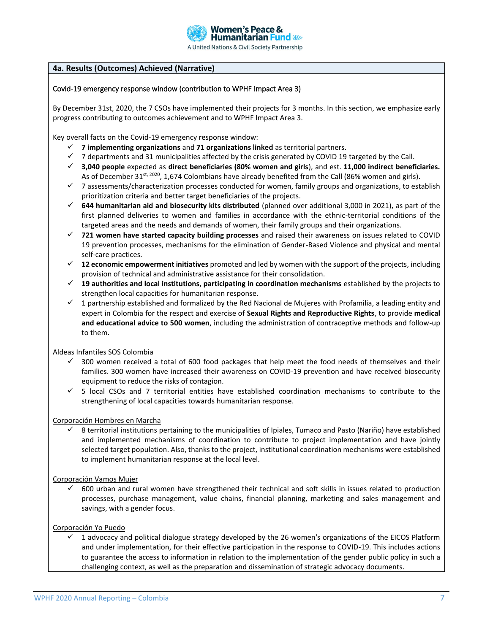

# **4a. Results (Outcomes) Achieved (Narrative)**

### Covid-19 emergency response window (contribution to WPHF Impact Area 3)

By December 31st, 2020, the 7 CSOs have implemented their projects for 3 months. In this section, we emphasize early progress contributing to outcomes achievement and to WPHF Impact Area 3.

Key overall facts on the Covid-19 emergency response window:

- ✓ **7 implementing organizations** and **71 organizations linked** as territorial partners.
- $\checkmark$  7 departments and 31 municipalities affected by the crisis generated by COVID 19 targeted by the Call.
- ✓ **3,040 people** expected as **direct beneficiaries (80% women and girls**), and est. **11,000 indirect beneficiaries.** As of December 31<sup>st, 2020</sup>, 1,674 Colombians have already benefited from the Call (86% women and girls).
- $\checkmark$  7 assessments/characterization processes conducted for women, family groups and organizations, to establish prioritization criteria and better target beneficiaries of the projects.
- ✓ **644 humanitarian aid and biosecurity kits distributed** (planned over additional 3,000 in 2021), as part of the first planned deliveries to women and families in accordance with the ethnic-territorial conditions of the targeted areas and the needs and demands of women, their family groups and their organizations.
- ✓ **721 women have started capacity building processes** and raised their awareness on issues related to COVID 19 prevention processes, mechanisms for the elimination of Gender-Based Violence and physical and mental self-care practices.
- ✓ **12 economic empowerment initiatives** promoted and led by women with the support of the projects, including provision of technical and administrative assistance for their consolidation.
- ✓ **19 authorities and local institutions, participating in coordination mechanisms** established by the projects to strengthen local capacities for humanitarian response.
- ✓ 1 partnership established and formalized by the Red Nacional de Mujeres with Profamilia, a leading entity and expert in Colombia for the respect and exercise of **Sexual Rights and Reproductive Rights**, to provide **medical and educational advice to 500 women**, including the administration of contraceptive methods and follow-up to them.

Aldeas Infantiles SOS Colombia

- 300 women received a total of 600 food packages that help meet the food needs of themselves and their families. 300 women have increased their awareness on COVID-19 prevention and have received biosecurity equipment to reduce the risks of contagion.
- ✓ 5 local CSOs and 7 territorial entities have established coordination mechanisms to contribute to the strengthening of local capacities towards humanitarian response.

### Corporación Hombres en Marcha

✓ 8 territorial institutions pertaining to the municipalities of Ipiales, Tumaco and Pasto (Nariño) have established and implemented mechanisms of coordination to contribute to project implementation and have jointly selected target population. Also, thanks to the project, institutional coordination mechanisms were established to implement humanitarian response at the local level.

#### Corporación Vamos Mujer

 $\check{\phantom{\phi}}$  600 urban and rural women have strengthened their technical and soft skills in issues related to production processes, purchase management, value chains, financial planning, marketing and sales management and savings, with a gender focus.

Corporación Yo Puedo

 $\checkmark$  1 advocacy and political dialogue strategy developed by the 26 women's organizations of the EICOS Platform and under implementation, for their effective participation in the response to COVID-19. This includes actions to guarantee the access to information in relation to the implementation of the gender public policy in such a challenging context, as well as the preparation and dissemination of strategic advocacy documents.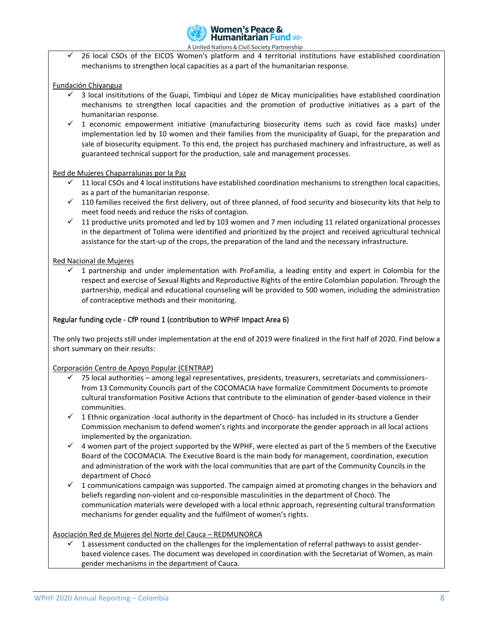

 $\checkmark$  26 local CSOs of the EICOS Women's platform and 4 territorial institutions have established coordination mechanisms to strengthen local capacities as a part of the humanitarian response.

## Fundación Chiyangua

- $\checkmark$  3 local insititutions of the Guapi, Timbiquí and López de Micay municipalities have established coordination mechanisms to strengthen local capacities and the promotion of productive initiatives as a part of the humanitarian response.
- $\checkmark$  1 economic empowerment initiative (manufacturing biosecurity items such as covid face masks) under implementation led by 10 women and their families from the municipality of Guapi, for the preparation and sale of biosecurity equipment. To this end, the project has purchased machinery and infrastructure, as well as guaranteed technical support for the production, sale and management processes.

### Red de Mujeres Chaparralunas por la Paz

- ✓ 11 local CSOs and 4 local institutions have established coordination mechanisms to strengthen local capacities, as a part of the humanitarian response.
- $\checkmark$  110 families received the first delivery, out of three planned, of food security and biosecurity kits that help to meet food needs and reduce the risks of contagion.
- ✓ 11 productive units promoted and led by 103 women and 7 men including 11 related organizational processes in the department of Tolima were identified and prioritized by the project and received agricultural technical assistance for the start-up of the crops, the preparation of the land and the necessary infrastructure.

### Red Nacional de Mujeres

✓ 1 partnership and under implementation with ProFamilia, a leading entity and expert in Colombia for the respect and exercise of Sexual Rights and Reproductive Rights of the entire Colombian population. Through the partnership, medical and educational counseling will be provided to 500 women, including the administration of contraceptive methods and their monitoring.

## Regular funding cycle -CfP round 1 (contribution to WPHF Impact Area 6)

The only two projects still under implementation at the end of 2019 were finalized in the first half of 2020. Find below a short summary on their results:

Corporación Centro de Apoyo Popular (CENTRAP)

- 75 local authorities among legal representatives, presidents, treasurers, secretariats and commissionersfrom 13 Community Councils part of the COCOMACIA have formalize Commitment Documents to promote cultural transformation Positive Actions that contribute to the elimination of gender-based violence in their communities.
- ✓ 1 Ethnic organization -local authority in the department of Chocó- has included in its structure a Gender Commission mechanism to defend women's rights and incorporate the gender approach in all local actions implemented by the organization.
- $\checkmark$  4 women part of the project supported by the WPHF, were elected as part of the 5 members of the Executive Board of the COCOMACIA. The Executive Board is the main body for management, coordination, execution and administration of the work with the local communities that are part of the Community Councils in the department of Chocó
- ✓ 1 communications campaign was supported. The campaign aimed at promoting changes in the behaviors and beliefs regarding non-violent and co-responsible masculinities in the department of Chocó. The communication materials were developed with a local ethnic approach, representing cultural transformation mechanisms for gender equality and the fulfilment of women's rights.

### Asociación Red de Mujeres del Norte del Cauca – REDMUNORCA

 $\checkmark$  1 assessment conducted on the challenges for the implementation of referral pathways to assist genderbased violence cases. The document was developed in coordination with the Secretariat of Women, as main gender mechanisms in the department of Cauca.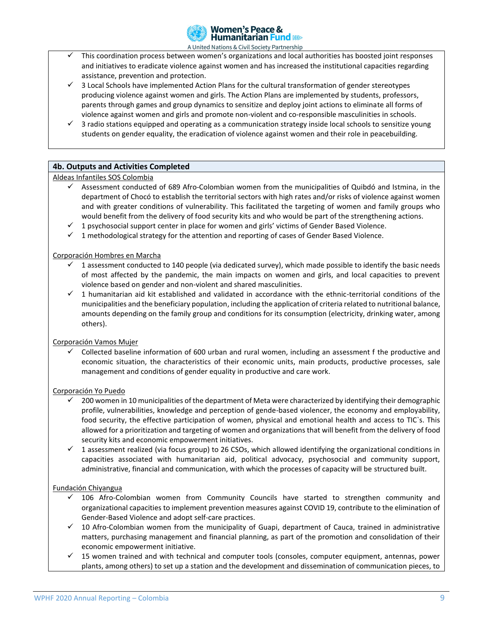

- This coordination process between women's organizations and local authorities has boosted joint responses and initiatives to eradicate violence against women and has increased the institutional capacities regarding assistance, prevention and protection.
- $\checkmark$  3 Local Schools have implemented Action Plans for the cultural transformation of gender stereotypes producing violence against women and girls. The Action Plans are implemented by students, professors, parents through games and group dynamics to sensitize and deploy joint actions to eliminate all forms of violence against women and girls and promote non-violent and co-responsible masculinities in schools.
- ✓ 3 radio stations equipped and operating as a communication strategy inside local schools to sensitize young students on gender equality, the eradication of violence against women and their role in peacebuilding.

# **4b. Outputs and Activities Completed**

Aldeas Infantiles SOS Colombia

- $\checkmark$  Assessment conducted of 689 Afro-Colombian women from the municipalities of Quibdó and Istmina, in the department of Chocó to establish the territorial sectors with high rates and/or risks of violence against women and with greater conditions of vulnerability. This facilitated the targeting of women and family groups who would benefit from the delivery of food security kits and who would be part of the strengthening actions.
- $\checkmark$  1 psychosocial support center in place for women and girls' victims of Gender Based Violence.
- ✓ 1 methodological strategy for the attention and reporting of cases of Gender Based Violence.

#### Corporación Hombres en Marcha

- $\checkmark$  1 assessment conducted to 140 people (via dedicated survey), which made possible to identify the basic needs of most affected by the pandemic, the main impacts on women and girls, and local capacities to prevent violence based on gender and non-violent and shared masculinities.
- ✓ 1 humanitarian aid kit established and validated in accordance with the ethnic-territorial conditions of the municipalities and the beneficiary population, including the application of criteria related to nutritional balance, amounts depending on the family group and conditions for its consumption (electricity, drinking water, among others).

# Corporación Vamos Mujer

✓ Collected baseline information of 600 urban and rural women, including an assessment f the productive and economic situation, the characteristics of their economic units, main products, productive processes, sale management and conditions of gender equality in productive and care work.

#### Corporación Yo Puedo

- $\checkmark$  200 women in 10 municipalities of the department of Meta were characterized by identifying their demographic profile, vulnerabilities, knowledge and perception of gende-based violencer, the economy and employability, food security, the effective participation of women, physical and emotional health and access to TIC`s. This allowed for a prioritization and targeting of women and organizations that will benefit from the delivery of food security kits and economic empowerment initiatives.
- $\checkmark$  1 assessment realized (via focus group) to 26 CSOs, which allowed identifying the organizational conditions in capacities associated with humanitarian aid, political advocacy, psychosocial and community support, administrative, financial and communication, with which the processes of capacity will be structured built.

### Fundación Chiyangua

- $\checkmark$  106 Afro-Colombian women from Community Councils have started to strengthen community and organizational capacities to implement prevention measures against COVID 19, contribute to the elimination of Gender-Based Violence and adopt self-care practices.
- ✓ 10 Afro-Colombian women from the municipality of Guapi, department of Cauca, trained in administrative matters, purchasing management and financial planning, as part of the promotion and consolidation of their economic empowerment initiative.
- ✓ 15 women trained and with technical and computer tools (consoles, computer equipment, antennas, power plants, among others) to set up a station and the development and dissemination of communication pieces, to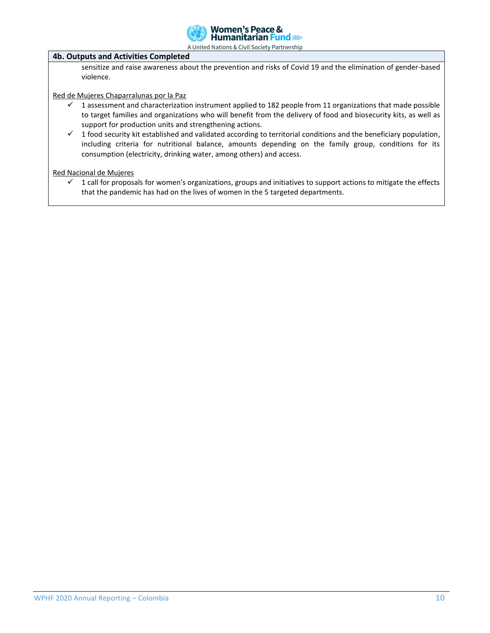

### **4b. Outputs and Activities Completed**

sensitize and raise awareness about the prevention and risks of Covid 19 and the elimination of gender-based violence.

Red de Mujeres Chaparralunas por la Paz

- $\checkmark$  1 assessment and characterization instrument applied to 182 people from 11 organizations that made possible to target families and organizations who will benefit from the delivery of food and biosecurity kits, as well as support for production units and strengthening actions.
- $\checkmark$  1 food security kit established and validated according to territorial conditions and the beneficiary population, including criteria for nutritional balance, amounts depending on the family group, conditions for its consumption (electricity, drinking water, among others) and access.

#### Red Nacional de Mujeres

 $\checkmark$  1 call for proposals for women's organizations, groups and initiatives to support actions to mitigate the effects that the pandemic has had on the lives of women in the 5 targeted departments.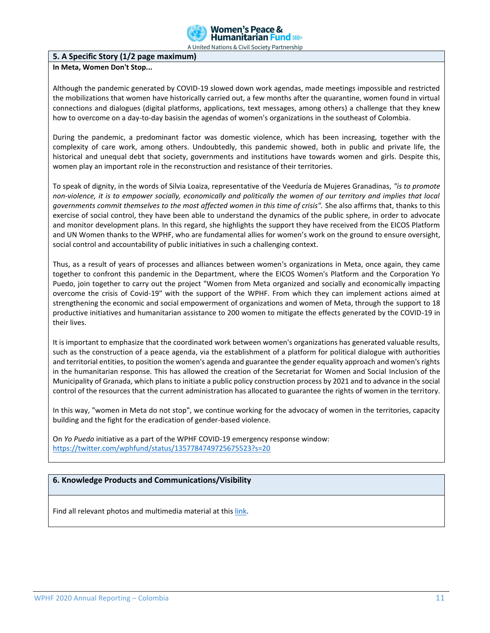

# **5. A Specific Story (1/2 page maximum)**

# **In Meta, Women Don't Stop...**

Although the pandemic generated by COVID-19 slowed down work agendas, made meetings impossible and restricted the mobilizations that women have historically carried out, a few months after the quarantine, women found in virtual connections and dialogues (digital platforms, applications, text messages, among others) a challenge that they knew how to overcome on a day-to-day basisin the agendas of women's organizations in the southeast of Colombia.

During the pandemic, a predominant factor was domestic violence, which has been increasing, together with the complexity of care work, among others. Undoubtedly, this pandemic showed, both in public and private life, the historical and unequal debt that society, governments and institutions have towards women and girls. Despite this, women play an important role in the reconstruction and resistance of their territories.

To speak of dignity, in the words of Silvia Loaiza, representative of the Veeduría de Mujeres Granadinas, *"is to promote non-violence, it is to empower socially, economically and politically the women of our territory and implies that local governments commit themselves to the most affected women in this time of crisis".* She also affirms that, thanks to this exercise of social control, they have been able to understand the dynamics of the public sphere, in order to advocate and monitor development plans. In this regard, she highlights the support they have received from the EICOS Platform and UN Women thanks to the WPHF, who are fundamental allies for women's work on the ground to ensure oversight, social control and accountability of public initiatives in such a challenging context.

Thus, as a result of years of processes and alliances between women's organizations in Meta, once again, they came together to confront this pandemic in the Department, where the EICOS Women's Platform and the Corporation Yo Puedo, join together to carry out the project "Women from Meta organized and socially and economically impacting overcome the crisis of Covid-19" with the support of the WPHF. From which they can implement actions aimed at strengthening the economic and social empowerment of organizations and women of Meta, through the support to 18 productive initiatives and humanitarian assistance to 200 women to mitigate the effects generated by the COVID-19 in their lives.

It is important to emphasize that the coordinated work between women's organizations has generated valuable results, such as the construction of a peace agenda, via the establishment of a platform for political dialogue with authorities and territorial entities, to position the women's agenda and guarantee the gender equality approach and women's rights in the humanitarian response. This has allowed the creation of the Secretariat for Women and Social Inclusion of the Municipality of Granada, which plans to initiate a public policy construction process by 2021 and to advance in the social control of the resources that the current administration has allocated to guarantee the rights of women in the territory.

In this way, "women in Meta do not stop", we continue working for the advocacy of women in the territories, capacity building and the fight for the eradication of gender-based violence.

On *Yo Puedo* initiative as a part of the WPHF COVID-19 emergency response window: <https://twitter.com/wphfund/status/1357784749725675523?s=20>

### **6. Knowledge Products and Communications/Visibility**

Find all relevant photos and multimedia material at thi[s link.](https://drive.google.com/drive/folders/18a7-unxT5EtGZt-irVD-aZ_u_tu4xucx)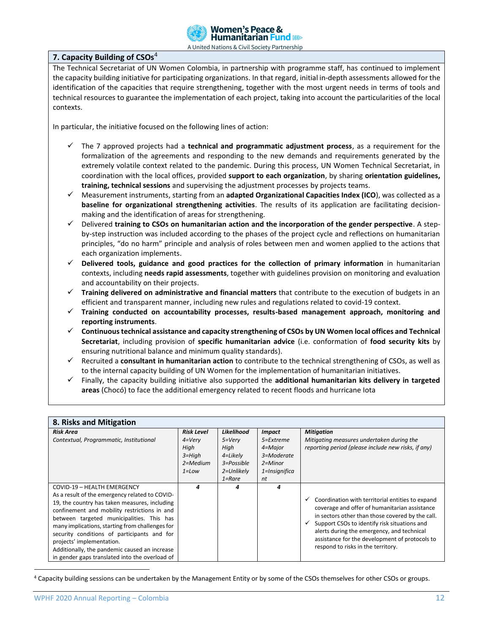

# **7. Capacity Building of CSOs**<sup>4</sup>

The Technical Secretariat of UN Women Colombia, in partnership with programme staff, has continued to implement the capacity building initiative for participating organizations. In that regard, initial in-depth assessments allowed for the identification of the capacities that require strengthening, together with the most urgent needs in terms of tools and technical resources to guarantee the implementation of each project, taking into account the particularities of the local contexts.

In particular, the initiative focused on the following lines of action:

- ✓ The 7 approved projects had a **technical and programmatic adjustment process**, as a requirement for the formalization of the agreements and responding to the new demands and requirements generated by the extremely volatile context related to the pandemic. During this process, UN Women Technical Secretariat, in coordination with the local offices, provided **support to each organization**, by sharing **orientation guidelines, training, technical sessions** and supervising the adjustment processes by projects teams.
- ✓ Measurement instruments, starting from an **adapted Organizational Capacities Index (ICO**), was collected as a **baseline for organizational strengthening activities**. The results of its application are facilitating decisionmaking and the identification of areas for strengthening.
- ✓ Delivered **training to CSOs on humanitarian action and the incorporation of the gender perspective**. A stepby-step instruction was included according to the phases of the project cycle and reflections on humanitarian principles, "do no harm" principle and analysis of roles between men and women applied to the actions that each organization implements.
- ✓ **Delivered tools, guidance and good practices for the collection of primary information** in humanitarian contexts, including **needs rapid assessments**, together with guidelines provision on monitoring and evaluation and accountability on their projects.
- ✓ **Training delivered on administrative and financial matters** that contribute to the execution of budgets in an efficient and transparent manner, including new rules and regulations related to covid-19 context.
- ✓ **Training conducted on accountability processes, results-based management approach, monitoring and reporting instruments**.
- ✓ **Continuous technical assistance and capacity strengthening of CSOs by UN Women local offices and Technical Secretariat**, including provision of **specific humanitarian advice** (i.e. conformation of **food security kits** by ensuring nutritional balance and minimum quality standards).
- ✓ Recruited a **consultant in humanitarian action** to contribute to the technical strengthening of CSOs, as well as to the internal capacity building of UN Women for the implementation of humanitarian initiatives.
- ✓ Finally, the capacity building initiative also supported the **additional humanitarian kits delivery in targeted areas** (Chocó) to face the additional emergency related to recent floods and hurricane Iota

| 8. Risks and Mitigation                                                                                                                                                                                                                                                                                                                                                                                                                                       |                                                                               |                                                                                                |                                                                                           |                                                                                                                                                                                                                                                                                                                                                             |  |  |  |
|---------------------------------------------------------------------------------------------------------------------------------------------------------------------------------------------------------------------------------------------------------------------------------------------------------------------------------------------------------------------------------------------------------------------------------------------------------------|-------------------------------------------------------------------------------|------------------------------------------------------------------------------------------------|-------------------------------------------------------------------------------------------|-------------------------------------------------------------------------------------------------------------------------------------------------------------------------------------------------------------------------------------------------------------------------------------------------------------------------------------------------------------|--|--|--|
| <b>Risk Area</b><br>Contextual, Programmatic, Institutional                                                                                                                                                                                                                                                                                                                                                                                                   | <b>Risk Level</b><br>$4=V$ ery<br>High<br>$3 = High$<br>2=Medium<br>$1 = Low$ | Likelihood<br>$5 = \nV$ ery<br>High<br>4=Likely<br>$3 = P$ ossible<br>2=Unlikely<br>$1 =$ Rare | <b>Impact</b><br>5=Extreme<br>4=Major<br>3=Moderate<br>$2 =$ Minor<br>1=Insignifica<br>nt | <b>Mitigation</b><br>Mitigating measures undertaken during the<br>reporting period (please include new risks, if any)                                                                                                                                                                                                                                       |  |  |  |
| COVID-19 - HEALTH EMERGENCY<br>As a result of the emergency related to COVID-<br>19, the country has taken measures, including<br>confinement and mobility restrictions in and<br>between targeted municipalities. This has<br>many implications, starting from challenges for<br>security conditions of participants and for<br>projects' implementation.<br>Additionally, the pandemic caused an increase<br>in gender gaps translated into the overload of | 4                                                                             | 4                                                                                              | 4                                                                                         | Coordination with territorial entities to expand<br>$\checkmark$<br>coverage and offer of humanitarian assistance<br>in sectors other than those covered by the call.<br>Support CSOs to identify risk situations and<br>alerts during the emergency, and technical<br>assistance for the development of protocols to<br>respond to risks in the territory. |  |  |  |

<sup>&</sup>lt;sup>4</sup> Capacity building sessions can be undertaken by the Management Entity or by some of the CSOs themselves for other CSOs or groups.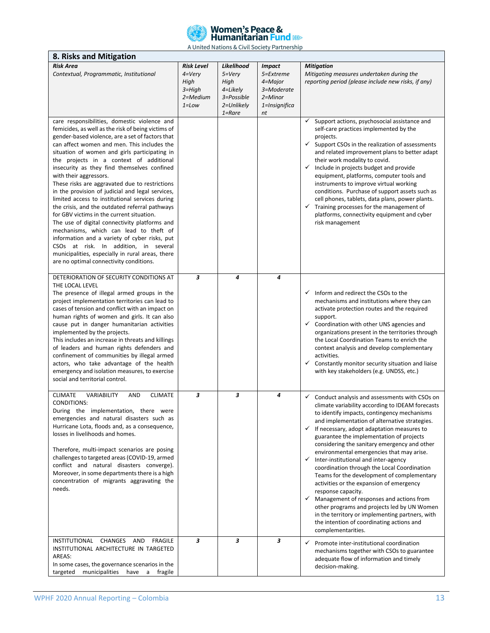

| A UTTICA NUCIUIS & CIVIL SUCIETY L'ULCISITIE<br>8. Risks and Mitigation                                                                                                                                                                                                                                                                                                                                                                                                                                                                                                                                                                                                                                                                                                                                                                                                                                                |                                                                               |                                                                                         |                                                                                       |                                                                                                                                                                                                                                                                                                                                                                                                                                                                                                                                                                                                                                                                                                                                                                                                                                                                            |  |  |  |
|------------------------------------------------------------------------------------------------------------------------------------------------------------------------------------------------------------------------------------------------------------------------------------------------------------------------------------------------------------------------------------------------------------------------------------------------------------------------------------------------------------------------------------------------------------------------------------------------------------------------------------------------------------------------------------------------------------------------------------------------------------------------------------------------------------------------------------------------------------------------------------------------------------------------|-------------------------------------------------------------------------------|-----------------------------------------------------------------------------------------|---------------------------------------------------------------------------------------|----------------------------------------------------------------------------------------------------------------------------------------------------------------------------------------------------------------------------------------------------------------------------------------------------------------------------------------------------------------------------------------------------------------------------------------------------------------------------------------------------------------------------------------------------------------------------------------------------------------------------------------------------------------------------------------------------------------------------------------------------------------------------------------------------------------------------------------------------------------------------|--|--|--|
| <b>Risk Area</b><br>Contextual, Programmatic, Institutional                                                                                                                                                                                                                                                                                                                                                                                                                                                                                                                                                                                                                                                                                                                                                                                                                                                            | <b>Risk Level</b><br>$4=V$ ery<br>High<br>$3 = High$<br>2=Medium<br>$1 = Low$ | Likelihood<br>$5 = V$ ery<br>High<br>4=Likely<br>3=Possible<br>2=Unlikely<br>$1 =$ Rare | <b>Impact</b><br>5=Extreme<br>4=Major<br>3=Moderate<br>2=Minor<br>1=Insignifica<br>nt | <b>Mitigation</b><br>Mitigating measures undertaken during the<br>reporting period (please include new risks, if any)                                                                                                                                                                                                                                                                                                                                                                                                                                                                                                                                                                                                                                                                                                                                                      |  |  |  |
| care responsibilities, domestic violence and<br>femicides, as well as the risk of being victims of<br>gender-based violence, are a set of factors that<br>can affect women and men. This includes the<br>situation of women and girls participating in<br>the projects in a context of additional<br>insecurity as they find themselves confined<br>with their aggressors.<br>These risks are aggravated due to restrictions<br>in the provision of judicial and legal services,<br>limited access to institutional services during<br>the crisis, and the outdated referral pathways<br>for GBV victims in the current situation.<br>The use of digital connectivity platforms and<br>mechanisms, which can lead to theft of<br>information and a variety of cyber risks, put<br>CSOs at risk. In addition, in several<br>municipalities, especially in rural areas, there<br>are no optimal connectivity conditions. |                                                                               |                                                                                         |                                                                                       | Support actions, psychosocial assistance and<br>$\checkmark$<br>self-care practices implemented by the<br>projects.<br>$\checkmark$ Support CSOs in the realization of assessments<br>and related improvement plans to better adapt<br>their work modality to covid.<br>$\checkmark$ Include in projects budget and provide<br>equipment, platforms, computer tools and<br>instruments to improve virtual working<br>conditions. Purchase of support assets such as<br>cell phones, tablets, data plans, power plants.<br>Training processes for the management of<br>✓<br>platforms, connectivity equipment and cyber<br>risk management                                                                                                                                                                                                                                  |  |  |  |
| DETERIORATION OF SECURITY CONDITIONS AT<br>THE LOCAL LEVEL<br>The presence of illegal armed groups in the<br>project implementation territories can lead to<br>cases of tension and conflict with an impact on<br>human rights of women and girls. It can also<br>cause put in danger humanitarian activities<br>implemented by the projects.<br>This includes an increase in threats and killings<br>of leaders and human rights defenders and<br>confinement of communities by illegal armed<br>actors, who take advantage of the health<br>emergency and isolation measures, to exercise<br>social and territorial control.                                                                                                                                                                                                                                                                                         | 3                                                                             | 4                                                                                       | 4                                                                                     | $\checkmark$ Inform and redirect the CSOs to the<br>mechanisms and institutions where they can<br>activate protection routes and the required<br>support.<br>$\checkmark$ Coordination with other UNS agencies and<br>organizations present in the territories through<br>the Local Coordination Teams to enrich the<br>context analysis and develop complementary<br>activities.<br>$\checkmark$<br>Constantly monitor security situation and liaise<br>with key stakeholders (e.g. UNDSS, etc.)                                                                                                                                                                                                                                                                                                                                                                          |  |  |  |
| <b>CLIMATE</b><br>VARIABILITY<br>AND<br><b>CLIMATE</b><br><b>CONDITIONS:</b><br>During the implementation, there were<br>emergencies and natural disasters such as<br>Hurricane Lota, floods and, as a consequence,<br>losses in livelihoods and homes.<br>Therefore, multi-impact scenarios are posing<br>challenges to targeted areas (COVID-19, armed<br>conflict and natural disasters converge).<br>Moreover, in some departments there is a high<br>concentration of migrants aggravating the<br>needs.                                                                                                                                                                                                                                                                                                                                                                                                          | 3                                                                             | 3                                                                                       | 4                                                                                     | $\checkmark$ Conduct analysis and assessments with CSOs on<br>climate variability according to IDEAM forecasts<br>to identify impacts, contingency mechanisms<br>and implementation of alternative strategies.<br>$\checkmark$ If necessary, adopt adaptation measures to<br>guarantee the implementation of projects<br>considering the sanitary emergency and other<br>environmental emergencies that may arise.<br>Inter-institutional and inter-agency<br>$\checkmark$<br>coordination through the Local Coordination<br>Teams for the development of complementary<br>activities or the expansion of emergency<br>response capacity.<br>Management of responses and actions from<br>$\checkmark$<br>other programs and projects led by UN Women<br>in the territory or implementing partners, with<br>the intention of coordinating actions and<br>complementarities. |  |  |  |
| <b>INSTITUTIONAL</b><br>CHANGES<br>AND<br><b>FRAGILE</b><br>INSTITUTIONAL ARCHITECTURE IN TARGETED<br>AREAS:<br>In some cases, the governance scenarios in the<br>targeted<br>municipalities<br>have<br>a<br>fragile                                                                                                                                                                                                                                                                                                                                                                                                                                                                                                                                                                                                                                                                                                   | 3                                                                             | 3                                                                                       | 3                                                                                     | $\checkmark$ Promote inter-institutional coordination<br>mechanisms together with CSOs to guarantee<br>adequate flow of information and timely<br>decision-making.                                                                                                                                                                                                                                                                                                                                                                                                                                                                                                                                                                                                                                                                                                         |  |  |  |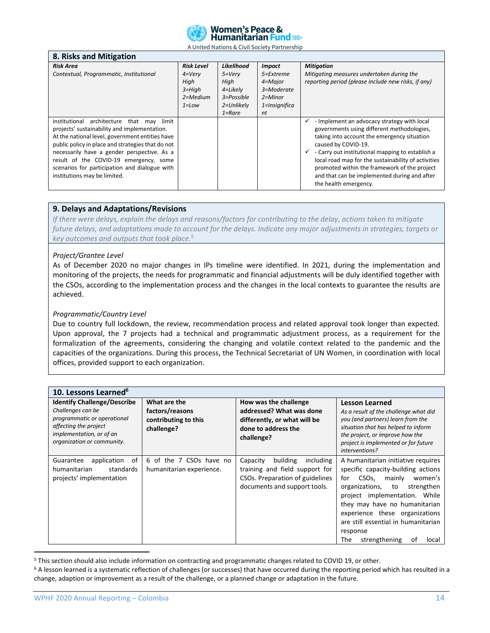

| 8. Risks and Mitigation                                                                                                                                                                                                                                                                                                                                                        |                                                                               |                                                                                           |                                                                                           |                                                                                                                                                                                                                                                                                                                                                                                                          |
|--------------------------------------------------------------------------------------------------------------------------------------------------------------------------------------------------------------------------------------------------------------------------------------------------------------------------------------------------------------------------------|-------------------------------------------------------------------------------|-------------------------------------------------------------------------------------------|-------------------------------------------------------------------------------------------|----------------------------------------------------------------------------------------------------------------------------------------------------------------------------------------------------------------------------------------------------------------------------------------------------------------------------------------------------------------------------------------------------------|
| <b>Risk Area</b><br>Contextual, Programmatic, Institutional                                                                                                                                                                                                                                                                                                                    | <b>Risk Level</b><br>$4=V$ ery<br>High<br>$3 = High$<br>2=Medium<br>$1 = Low$ | Likelihood<br>$5 = \nV$ ery<br>High<br>4=Likely<br>3=Possible<br>2=Unlikely<br>$1 =$ Rare | <b>Impact</b><br>5=Extreme<br>4=Major<br>3=Moderate<br>$2 =$ Minor<br>1=Insignifica<br>nt | <b>Mitigation</b><br>Mitigating measures undertaken during the<br>reporting period (please include new risks, if any)                                                                                                                                                                                                                                                                                    |
| institutional architecture that<br>may limit<br>projects' sustainability and implementation.<br>At the national level, government entities have<br>public policy in place and strategies that do not<br>necessarily have a gender perspective. As a<br>result of the COVID-19 emergency, some<br>scenarios for participation and dialogue with<br>institutions may be limited. |                                                                               |                                                                                           |                                                                                           | - Implement an advocacy strategy with local<br>governments using different methodologies,<br>taking into account the emergency situation<br>caused by COVID-19.<br>- Carry out institutional mapping to establish a<br>✓<br>local road map for the sustainability of activities<br>promoted within the framework of the project<br>and that can be implemented during and after<br>the health emergency. |

#### **9. Delays and Adaptations/Revisions**

*If there were delays, explain the delays and reasons/factors for contributing to the delay, actions taken to mitigate future delays, and adaptations made to account for the delays. Indicate any major adjustments in strategies, targets or key outcomes and outputs that took place.<sup>5</sup>*

#### *Project/Grantee Level*

As of December 2020 no major changes in IPs timeline were identified. In 2021, during the implementation and monitoring of the projects, the needs for programmatic and financial adjustments will be duly identified together with the CSOs, according to the implementation process and the changes in the local contexts to guarantee the results are achieved.

#### *Programmatic/Country Level*

Due to country full lockdown, the review, recommendation process and related approval took longer than expected. Upon approval, the 7 projects had a technical and programmatic adjustment process, as a requirement for the formalization of the agreements, considering the changing and volatile context related to the pandemic and the capacities of the organizations. During this process, the Technical Secretariat of UN Women, in coordination with local offices, provided support to each organization.

| 10. Lessons Learned <sup>6</sup>                                                                                                                                          |                                                                       |                                                                                                                                        |                                                                                                                                                                                                                                                                                                                                                |
|---------------------------------------------------------------------------------------------------------------------------------------------------------------------------|-----------------------------------------------------------------------|----------------------------------------------------------------------------------------------------------------------------------------|------------------------------------------------------------------------------------------------------------------------------------------------------------------------------------------------------------------------------------------------------------------------------------------------------------------------------------------------|
| <b>Identify Challenge/Describe</b><br>Challenges can be<br>programmatic or operational<br>affecting the project<br>implementation, or of an<br>organization or community. | What are the<br>factors/reasons<br>contributing to this<br>challenge? | How was the challenge<br>addressed? What was done<br>differently, or what will be<br>done to address the<br>challenge?                 | <b>Lesson Learned</b><br>As a result of the challenge what did<br>you (and partners) learn from the<br>situation that has helped to inform<br>the project, or improve how the<br>project is implemented or for future<br>interventions?                                                                                                        |
| application<br>οf<br>Guarantee<br>humanitarian<br>standards<br>projects' implementation                                                                                   | 6 of the 7 CSOs have no<br>humanitarian experience.                   | building<br>Capacity<br>including<br>training and field support for<br>CSOs. Preparation of guidelines<br>documents and support tools. | A humanitarian initiative requires<br>specific capacity-building actions<br>CSOs,<br>women's<br>for<br>mainly<br>organizations, to<br>strengthen<br>project implementation. While<br>they may have no humanitarian<br>experience these organizations<br>are still essential in humanitarian<br>response<br>strengthening<br>The<br>0t<br>local |

<sup>5</sup> This section should also include information on contracting and programmatic changes related to COVID 19, or other.

<sup>6</sup> A lesson learned is a systematic reflection of challenges (or successes) that have occurred during the reporting period which has resulted in a change, adaption or improvement as a result of the challenge, or a planned change or adaptation in the future.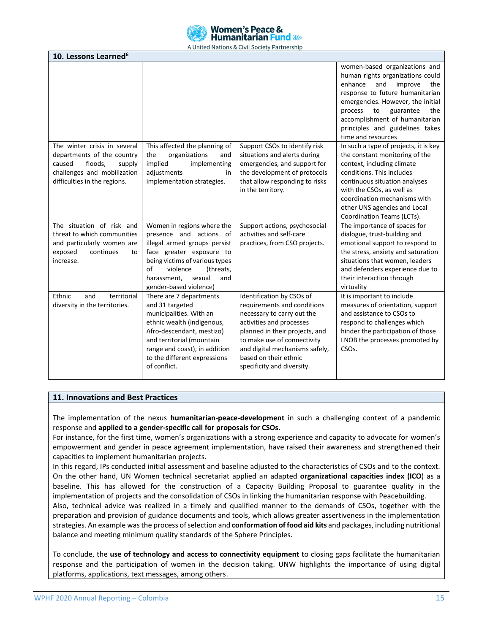

| 10. Lessons Learned <sup>6</sup>                                                                                                  |                                                                                                                                                                                                                                                |                                                                                                                                                                                                                                                                              |                                                                                                                                                                                                                                                                                                                                                                                                                                                     |
|-----------------------------------------------------------------------------------------------------------------------------------|------------------------------------------------------------------------------------------------------------------------------------------------------------------------------------------------------------------------------------------------|------------------------------------------------------------------------------------------------------------------------------------------------------------------------------------------------------------------------------------------------------------------------------|-----------------------------------------------------------------------------------------------------------------------------------------------------------------------------------------------------------------------------------------------------------------------------------------------------------------------------------------------------------------------------------------------------------------------------------------------------|
| The winter crisis in several<br>departments of the country<br>floods,<br>caused<br>supply                                         | This affected the planning of<br>the<br>organizations<br>and<br>implied<br>implementing                                                                                                                                                        | Support CSOs to identify risk<br>situations and alerts during<br>emergencies, and support for                                                                                                                                                                                | women-based organizations and<br>human rights organizations could<br>enhance<br>and<br>improve<br>the<br>response to future humanitarian<br>emergencies. However, the initial<br>guarantee<br>process<br>to<br>the<br>accomplishment of humanitarian<br>principles and guidelines takes<br>time and resources<br>In such a type of projects, it is key<br>the constant monitoring of the<br>context, including climate<br>conditions. This includes |
| challenges and mobilization<br>difficulties in the regions.                                                                       | adjustments<br>in.<br>implementation strategies.                                                                                                                                                                                               | the development of protocols<br>that allow responding to risks<br>in the territory.                                                                                                                                                                                          | continuous situation analyses<br>with the CSOs, as well as<br>coordination mechanisms with<br>other UNS agencies and Local<br>Coordination Teams (LCTs).                                                                                                                                                                                                                                                                                            |
| The situation of risk and<br>threat to which communities<br>and particularly women are<br>exposed<br>continues<br>to<br>increase. | Women in regions where the<br>presence and actions of<br>illegal armed groups persist<br>face greater exposure to<br>being victims of various types<br>of<br>violence<br>(threats,<br>sexual<br>harassment,<br>and<br>gender-based violence)   | Support actions, psychosocial<br>activities and self-care<br>practices, from CSO projects.                                                                                                                                                                                   | The importance of spaces for<br>dialogue, trust-building and<br>emotional support to respond to<br>the stress, anxiety and saturation<br>situations that women, leaders<br>and defenders experience due to<br>their interaction through<br>virtuality                                                                                                                                                                                               |
| territorial<br>Ethnic<br>and<br>diversity in the territories.                                                                     | There are 7 departments<br>and 31 targeted<br>municipalities. With an<br>ethnic wealth (indigenous,<br>Afro-descendant, mestizo)<br>and territorial (mountain<br>range and coast), in addition<br>to the different expressions<br>of conflict. | Identification by CSOs of<br>requirements and conditions<br>necessary to carry out the<br>activities and processes<br>planned in their projects, and<br>to make use of connectivity<br>and digital mechanisms safely,<br>based on their ethnic<br>specificity and diversity. | It is important to include<br>measures of orientation, support<br>and assistance to CSOs to<br>respond to challenges which<br>hinder the participation of those<br>LNOB the processes promoted by<br>CSO <sub>s</sub> .                                                                                                                                                                                                                             |

### **11. Innovations and Best Practices**

The implementation of the nexus **humanitarian-peace-development** in such a challenging context of a pandemic response and **applied to a gender-specific call for proposals for CSOs.**

For instance, for the first time, women's organizations with a strong experience and capacity to advocate for women's empowerment and gender in peace agreement implementation, have raised their awareness and strengthened their capacities to implement humanitarian projects.

In this regard, IPs conducted initial assessment and baseline adjusted to the characteristics of CSOs and to the context. On the other hand, UN Women technical secretariat applied an adapted **organizational capacities index (ICO**) as a baseline. This has allowed for the construction of a Capacity Building Proposal to guarantee quality in the implementation of projects and the consolidation of CSOs in linking the humanitarian response with Peacebuilding.

Also, technical advice was realized in a timely and qualified manner to the demands of CSOs, together with the preparation and provision of guidance documents and tools, which allows greater assertiveness in the implementation strategies. An example was the process of selection and **conformation of food aid kits** and packages, including nutritional balance and meeting minimum quality standards of the Sphere Principles.

To conclude, the **use of technology and access to connectivity equipment** to closing gaps facilitate the humanitarian response and the participation of women in the decision taking. UNW highlights the importance of using digital platforms, applications, text messages, among others.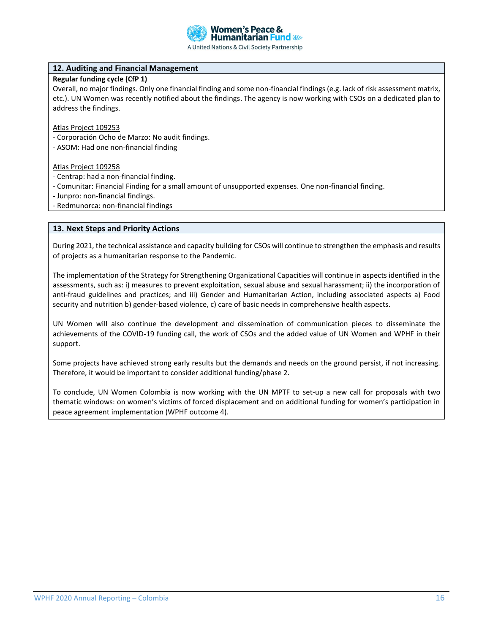

# **12. Auditing and Financial Management**

# **Regular funding cycle (CfP 1)**

Overall, no major findings. Only one financial finding and some non-financial findings (e.g. lack of risk assessment matrix, etc.). UN Women was recently notified about the findings. The agency is now working with CSOs on a dedicated plan to address the findings.

Atlas Project 109253

- Corporación Ocho de Marzo: No audit findings.
- ASOM: Had one non-financial finding

#### Atlas Project 109258

- Centrap: had a non-financial finding.
- Comunitar: Financial Finding for a small amount of unsupported expenses. One non-financial finding.
- Junpro: non-financial findings.
- Redmunorca: non-financial findings

#### **13. Next Steps and Priority Actions**

During 2021, the technical assistance and capacity building for CSOs will continue to strengthen the emphasis and results of projects as a humanitarian response to the Pandemic.

The implementation of the Strategy for Strengthening Organizational Capacities will continue in aspects identified in the assessments, such as: i) measures to prevent exploitation, sexual abuse and sexual harassment; ii) the incorporation of anti-fraud guidelines and practices; and iii) Gender and Humanitarian Action, including associated aspects a) Food security and nutrition b) gender-based violence, c) care of basic needs in comprehensive health aspects.

UN Women will also continue the development and dissemination of communication pieces to disseminate the achievements of the COVID-19 funding call, the work of CSOs and the added value of UN Women and WPHF in their support.

Some projects have achieved strong early results but the demands and needs on the ground persist, if not increasing. Therefore, it would be important to consider additional funding/phase 2.

To conclude, UN Women Colombia is now working with the UN MPTF to set-up a new call for proposals with two thematic windows: on women's victims of forced displacement and on additional funding for women's participation in peace agreement implementation (WPHF outcome 4).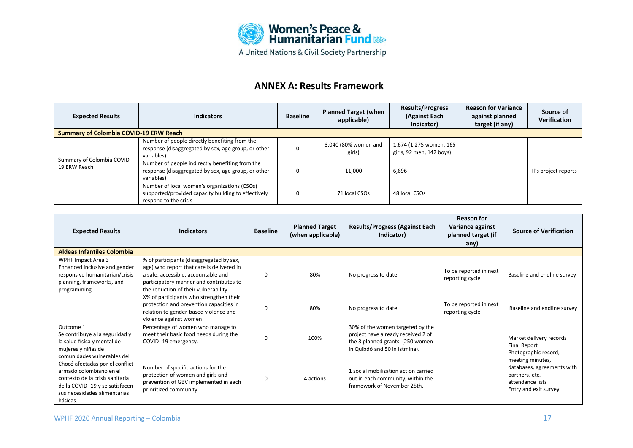

# **ANNEX A: Results Framework**

| <b>Expected Results</b>                       | <b>Indicators</b>                                                                                                            | <b>Baseline</b> | <b>Planned Target (when</b><br>applicable) | <b>Results/Progress</b><br>(Against Each<br>Indicator) | <b>Reason for Variance</b><br>against planned<br>target (if any) | Source of<br><b>Verification</b> |
|-----------------------------------------------|------------------------------------------------------------------------------------------------------------------------------|-----------------|--------------------------------------------|--------------------------------------------------------|------------------------------------------------------------------|----------------------------------|
| <b>Summary of Colombia COVID-19 ERW Reach</b> |                                                                                                                              |                 |                                            |                                                        |                                                                  |                                  |
|                                               | Number of people directly benefiting from the<br>response (disaggregated by sex, age group, or other<br>variables)           | 0               | 3,040 (80% women and<br>girls)             | 1,674 (1,275 women, 165<br>girls, 92 men, 142 boys)    |                                                                  |                                  |
| Summary of Colombia COVID-<br>19 ERW Reach    | Number of people indirectly benefiting from the<br>response (disaggregated by sex, age group, or other<br>variables)         | 0               | 11,000                                     | 6,696                                                  |                                                                  | IPs project reports              |
|                                               | Number of local women's organizations (CSOs)<br>supported/provided capacity building to effectively<br>respond to the crisis | 0               | 71 local CSOs                              | 48 local CSOs                                          |                                                                  |                                  |

| <b>Expected Results</b>                                                                                                                                                                                    | <b>Indicators</b>                                                                                                                                                                                                | <b>Baseline</b> | <b>Planned Target</b><br>(when applicable) | <b>Results/Progress (Against Each</b><br>Indicator)                                                                                         | <b>Reason for</b><br>Variance against<br>planned target (if<br>any) | <b>Source of Verification</b>                                                                                                         |
|------------------------------------------------------------------------------------------------------------------------------------------------------------------------------------------------------------|------------------------------------------------------------------------------------------------------------------------------------------------------------------------------------------------------------------|-----------------|--------------------------------------------|---------------------------------------------------------------------------------------------------------------------------------------------|---------------------------------------------------------------------|---------------------------------------------------------------------------------------------------------------------------------------|
| <b>Aldeas Infantiles Colombia</b>                                                                                                                                                                          |                                                                                                                                                                                                                  |                 |                                            |                                                                                                                                             |                                                                     |                                                                                                                                       |
| WPHF Impact Area 3<br>Enhanced inclusive and gender<br>responsive humanitarian/crisis<br>planning, frameworks, and<br>programming                                                                          | % of participants (disaggregated by sex,<br>age) who report that care is delivered in<br>a safe, accessible, accountable and<br>participatory manner and contributes to<br>the reduction of their vulnerability. | 0               | 80%                                        | No progress to date                                                                                                                         | To be reported in next<br>reporting cycle                           | Baseline and endline survey                                                                                                           |
|                                                                                                                                                                                                            | X% of participants who strengthen their<br>protection and prevention capacities in<br>relation to gender-based violence and<br>violence against women                                                            | 0               | 80%                                        | No progress to date                                                                                                                         | To be reported in next<br>reporting cycle                           | Baseline and endline survey                                                                                                           |
| Outcome 1<br>Se contribuye a la seguridad y<br>la salud física y mental de<br>mujeres y niñas de                                                                                                           | Percentage of women who manage to<br>meet their basic food needs during the<br>COVID-19 emergency.                                                                                                               | 0               | 100%                                       | 30% of the women targeted by the<br>project have already received 2 of<br>the 3 planned grants. (250 women<br>in Quibdó and 50 in Istmina). |                                                                     | Market delivery records<br>Final Report                                                                                               |
| comunidades vulnerables del<br>Chocó afectadas por el conflict<br>armado colombiano en el<br>contexto de la crisis sanitaria<br>de la COVID-19 y se satisfacen<br>sus necesidades alimentarias<br>básicas. | Number of specific actions for the<br>protection of women and girls and<br>prevention of GBV implemented in each<br>prioritized community.                                                                       | 0               | 4 actions                                  | 1 social mobilization action carried<br>out in each community, within the<br>framework of November 25th.                                    |                                                                     | Photographic record,<br>meeting minutes,<br>databases, agreements with<br>partners, etc.<br>attendance lists<br>Entry and exit survey |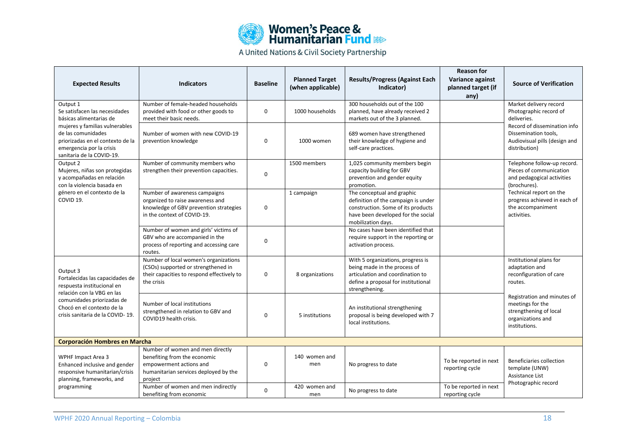| <b>Women's Peace &amp;<br/>Humanitarian Fund &amp; Res</b> |  |  |  |  |  |  |
|------------------------------------------------------------|--|--|--|--|--|--|
|                                                            |  |  |  |  |  |  |

| <b>Expected Results</b>                                                                                                                           | <b>Indicators</b>                                                                                                                               | <b>Baseline</b> | <b>Planned Target</b><br>(when applicable) | <b>Results/Progress (Against Each</b><br>Indicator)                                                                                                                 | <b>Reason for</b><br>Variance against<br>planned target (if<br>any) | <b>Source of Verification</b>                                                                                   |
|---------------------------------------------------------------------------------------------------------------------------------------------------|-------------------------------------------------------------------------------------------------------------------------------------------------|-----------------|--------------------------------------------|---------------------------------------------------------------------------------------------------------------------------------------------------------------------|---------------------------------------------------------------------|-----------------------------------------------------------------------------------------------------------------|
| Output 1<br>Se satisfacen las necesidades<br>básicas alimentarias de                                                                              | Number of female-headed households<br>provided with food or other goods to<br>meet their basic needs.                                           | 0               | 1000 households                            | 300 households out of the 100<br>planned, have already received 2<br>markets out of the 3 planned.                                                                  |                                                                     | Market delivery record<br>Photographic record of<br>deliveries.                                                 |
| mujeres y familias vulnerables<br>de las comunidades<br>priorizadas en el contexto de la<br>emergencia por la crisis<br>sanitaria de la COVID-19. | Number of women with new COVID-19<br>prevention knowledge                                                                                       | $\Omega$        | 1000 women                                 | 689 women have strengthened<br>their knowledge of hygiene and<br>self-care practices.                                                                               |                                                                     | Record of dissemination info<br>Dissemination tools,<br>Audiovisual pills (design and<br>distribution)          |
| Output 2<br>Mujeres, niñas son protegidas<br>y acompañadas en relación<br>con la violencia basada en                                              | Number of community members who<br>strengthen their prevention capacities.                                                                      | $\mathbf 0$     | 1500 members                               | 1,025 community members begin<br>capacity building for GBV<br>prevention and gender equity<br>promotion.                                                            |                                                                     | Telephone follow-up record.<br>Pieces of communication<br>and pedagogical activities<br>(brochures).            |
| género en el contexto de la<br>COVID 19.                                                                                                          | Number of awareness campaigns<br>organized to raise awareness and<br>knowledge of GBV prevention strategies<br>in the context of COVID-19.      | $\mathbf 0$     | 1 campaign                                 | The conceptual and graphic<br>definition of the campaign is under<br>construction. Some of its products<br>have been developed for the social<br>mobilization days. |                                                                     | Technical report on the<br>progress achieved in each of<br>the accompaniment<br>activities.                     |
|                                                                                                                                                   | Number of women and girls' victims of<br>GBV who are accompanied in the<br>process of reporting and accessing care<br>routes.                   | $\Omega$        |                                            | No cases have been identified that<br>require support in the reporting or<br>activation process.                                                                    |                                                                     |                                                                                                                 |
| Output 3<br>Fortalecidas las capacidades de<br>respuesta institucional en                                                                         | Number of local women's organizations<br>(CSOs) supported or strengthened in<br>their capacities to respond effectively to<br>the crisis        | $\mathbf 0$     | 8 organizations                            | With 5 organizations, progress is<br>being made in the process of<br>articulation and coordination to<br>define a proposal for institutional<br>strengthening.      |                                                                     | Institutional plans for<br>adaptation and<br>reconfiguration of care<br>routes.                                 |
| relación con la VBG en las<br>comunidades priorizadas de<br>Chocó en el contexto de la<br>crisis sanitaria de la COVID-19.                        | Number of local institutions<br>strengthened in relation to GBV and<br>COVID19 health crisis.                                                   | $\mathbf 0$     | 5 institutions                             | An institutional strengthening<br>proposal is being developed with 7<br>local institutions.                                                                         |                                                                     | Registration and minutes of<br>meetings for the<br>strengthening of local<br>organizations and<br>institutions. |
| <b>Corporación Hombres en Marcha</b>                                                                                                              |                                                                                                                                                 |                 |                                            |                                                                                                                                                                     |                                                                     |                                                                                                                 |
| <b>WPHF Impact Area 3</b><br>Enhanced inclusive and gender<br>responsive humanitarian/crisis<br>planning, frameworks, and                         | Number of women and men directly<br>benefiting from the economic<br>empowerment actions and<br>humanitarian services deployed by the<br>project | $\Omega$        | 140 women and<br>men                       | No progress to date                                                                                                                                                 | To be reported in next<br>reporting cycle                           | Beneficiaries collection<br>template (UNW)<br>Assistance List<br>Photographic record                            |
| programming                                                                                                                                       | Number of women and men indirectly<br>benefiting from economic                                                                                  | $\mathbf 0$     | 420 women and<br>men                       | No progress to date                                                                                                                                                 | To be reported in next<br>reporting cycle                           |                                                                                                                 |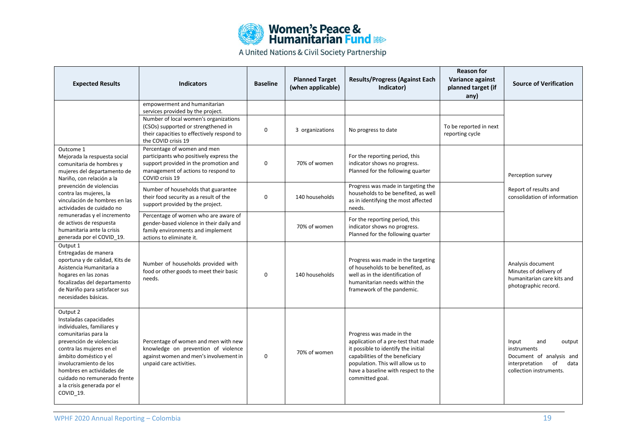

| <b>Expected Results</b>                                                                                                                                                                                                                                                                                      | <b>Indicators</b>                                                                                                                                                         | <b>Baseline</b> | <b>Planned Target</b><br>(when applicable) | <b>Results/Progress (Against Each</b><br>Indicator)                                                                                                                                                                                      | <b>Reason for</b><br>Variance against<br>planned target (if<br>any) | <b>Source of Verification</b>                                                                                                |
|--------------------------------------------------------------------------------------------------------------------------------------------------------------------------------------------------------------------------------------------------------------------------------------------------------------|---------------------------------------------------------------------------------------------------------------------------------------------------------------------------|-----------------|--------------------------------------------|------------------------------------------------------------------------------------------------------------------------------------------------------------------------------------------------------------------------------------------|---------------------------------------------------------------------|------------------------------------------------------------------------------------------------------------------------------|
|                                                                                                                                                                                                                                                                                                              | empowerment and humanitarian<br>services provided by the project.                                                                                                         |                 |                                            |                                                                                                                                                                                                                                          |                                                                     |                                                                                                                              |
|                                                                                                                                                                                                                                                                                                              | Number of local women's organizations<br>(CSOs) supported or strengthened in<br>their capacities to effectively respond to<br>the COVID crisis 19                         | 0               | 3 organizations                            | No progress to date                                                                                                                                                                                                                      | To be reported in next<br>reporting cycle                           |                                                                                                                              |
| Outcome 1<br>Mejorada la respuesta social<br>comunitaria de hombres y<br>mujeres del departamento de<br>Nariño, con relación a la                                                                                                                                                                            | Percentage of women and men<br>participants who positively express the<br>support provided in the promotion and<br>management of actions to respond to<br>COVID crisis 19 | 0               | 70% of women                               | For the reporting period, this<br>indicator shows no progress.<br>Planned for the following quarter                                                                                                                                      |                                                                     | Perception survey                                                                                                            |
| prevención de violencias<br>contra las mujeres, la<br>vinculación de hombres en las<br>actividades de cuidado no                                                                                                                                                                                             | Number of households that guarantee<br>their food security as a result of the<br>support provided by the project.                                                         | 0               | 140 households                             | Progress was made in targeting the<br>households to be benefited, as well<br>as in identifying the most affected<br>needs.                                                                                                               |                                                                     | Report of results and<br>consolidation of information                                                                        |
| remuneradas y el incremento<br>de activos de respuesta<br>humanitaria ante la crisis<br>generada por el COVID_19.                                                                                                                                                                                            | Percentage of women who are aware of<br>gender-based violence in their daily and<br>family environments and implement<br>actions to eliminate it.                         |                 | 70% of women                               | For the reporting period, this<br>indicator shows no progress.<br>Planned for the following quarter                                                                                                                                      |                                                                     |                                                                                                                              |
| Output 1<br>Entregadas de manera<br>oportuna y de calidad, Kits de<br>Asistencia Humanitaria a<br>hogares en las zonas<br>focalizadas del departamento<br>de Nariño para satisfacer sus<br>necesidades básicas.                                                                                              | Number of households provided with<br>food or other goods to meet their basic<br>needs.                                                                                   | $\Omega$        | 140 households                             | Progress was made in the targeting<br>of households to be benefited, as<br>well as in the identification of<br>humanitarian needs within the<br>framework of the pandemic.                                                               |                                                                     | Analysis document<br>Minutes of delivery of<br>humanitarian care kits and<br>photographic record.                            |
| Output 2<br>Instaladas capacidades<br>individuales, familiares y<br>comunitarias para la<br>prevención de violencias<br>contra las mujeres en el<br>ámbito doméstico y el<br>involucramiento de los<br>hombres en actividades de<br>cuidado no remunerado frente<br>a la crisis generada por el<br>COVID_19. | Percentage of women and men with new<br>knowledge on prevention of violence<br>against women and men's involvement in<br>unpaid care activities.                          | $\mathbf 0$     | 70% of women                               | Progress was made in the<br>application of a pre-test that made<br>it possible to identify the initial<br>capabilities of the beneficiary<br>population. This will allow us to<br>have a baseline with respect to the<br>committed goal. |                                                                     | Input<br>and<br>output<br>instruments<br>Document of analysis and<br>of<br>interpretation<br>data<br>collection instruments. |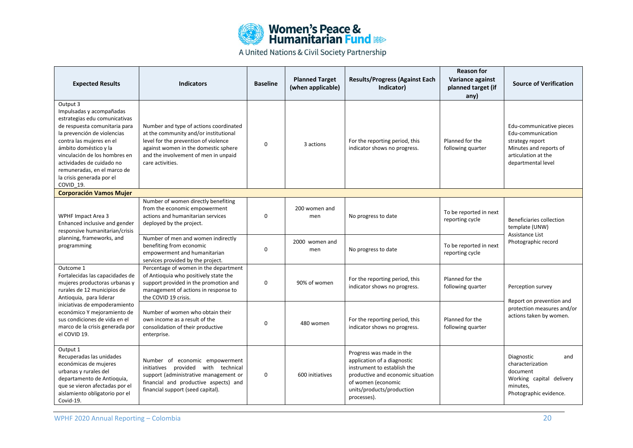

| <b>Expected Results</b>                                                                                                                                                                                                                                                                                                           | <b>Indicators</b>                                                                                                                                                                                                           | <b>Baseline</b> | <b>Planned Target</b><br>(when applicable) | <b>Results/Progress (Against Each</b><br>Indicator)                                                                                                                                           | <b>Reason for</b><br>Variance against<br>planned target (if<br>any) | <b>Source of Verification</b>                                                                                                           |  |
|-----------------------------------------------------------------------------------------------------------------------------------------------------------------------------------------------------------------------------------------------------------------------------------------------------------------------------------|-----------------------------------------------------------------------------------------------------------------------------------------------------------------------------------------------------------------------------|-----------------|--------------------------------------------|-----------------------------------------------------------------------------------------------------------------------------------------------------------------------------------------------|---------------------------------------------------------------------|-----------------------------------------------------------------------------------------------------------------------------------------|--|
| Output 3<br>Impulsadas y acompañadas<br>estrategias edu comunicativas<br>de respuesta comunitaria para<br>la prevención de violencias<br>contra las mujeres en el<br>ámbito doméstico y la<br>vinculación de los hombres en<br>actividades de cuidado no<br>remuneradas, en el marco de<br>la crisis generada por el<br>COVID 19. | Number and type of actions coordinated<br>at the community and/or institutional<br>level for the prevention of violence<br>against women in the domestic sphere<br>and the involvement of men in unpaid<br>care activities. | 0               | 3 actions                                  | For the reporting period, this<br>indicator shows no progress.                                                                                                                                | Planned for the<br>following quarter                                | Edu-communicative pieces<br>Edu-communication<br>strategy report<br>Minutes and reports of<br>articulation at the<br>departmental level |  |
| <b>Corporación Vamos Mujer</b>                                                                                                                                                                                                                                                                                                    |                                                                                                                                                                                                                             |                 |                                            |                                                                                                                                                                                               |                                                                     |                                                                                                                                         |  |
| <b>WPHF Impact Area 3</b><br>Enhanced inclusive and gender<br>responsive humanitarian/crisis                                                                                                                                                                                                                                      | Number of women directly benefiting<br>from the economic empowerment<br>actions and humanitarian services<br>deployed by the project.                                                                                       | 0               | 200 women and<br>men                       | No progress to date                                                                                                                                                                           | To be reported in next<br>reporting cycle                           | Beneficiaries collection<br>template (UNW)                                                                                              |  |
| planning, frameworks, and<br>programming                                                                                                                                                                                                                                                                                          | Number of men and women indirectly<br>benefiting from economic<br>empowerment and humanitarian<br>services provided by the project.                                                                                         | 0               | 2000 women and<br>men                      | No progress to date                                                                                                                                                                           | To be reported in next<br>reporting cycle                           | Assistance List<br>Photographic record                                                                                                  |  |
| Outcome 1<br>Fortalecidas las capacidades de<br>mujeres productoras urbanas y<br>rurales de 12 municipios de<br>Antioquia, para liderar                                                                                                                                                                                           | Percentage of women in the department<br>of Antioquia who positively state the<br>support provided in the promotion and<br>management of actions in response to<br>the COVID 19 crisis.                                     | 0               | 90% of women                               | For the reporting period, this<br>indicator shows no progress.                                                                                                                                | Planned for the<br>following quarter                                | Perception survey<br>Report on prevention and                                                                                           |  |
| iniciativas de empoderamiento<br>económico Y mejoramiento de<br>sus condiciones de vida en el<br>marco de la crisis generada por<br>el COVID 19.                                                                                                                                                                                  | Number of women who obtain their<br>own income as a result of the<br>consolidation of their productive<br>enterprise.                                                                                                       | 0               | 480 women                                  | For the reporting period, this<br>indicator shows no progress.                                                                                                                                | Planned for the<br>following quarter                                | protection measures and/or<br>actions taken by women.                                                                                   |  |
| Output 1<br>Recuperadas las unidades<br>económicas de mujeres<br>urbanas y rurales del<br>departamento de Antioquia,<br>que se vieron afectadas por el<br>aislamiento obligatorio por el<br>Covid-19.                                                                                                                             | Number of economic empowerment<br>with technical<br>initiatives<br>provided<br>support (administrative management or<br>financial and productive aspects) and<br>financial support (seed capital).                          | 0               | 600 initiatives                            | Progress was made in the<br>application of a diagnostic<br>instrument to establish the<br>productive and economic situation<br>of women (economic<br>units/products/production<br>processes). |                                                                     | Diagnostic<br>and<br>characterization<br>document<br>Working capital delivery<br>minutes,<br>Photographic evidence.                     |  |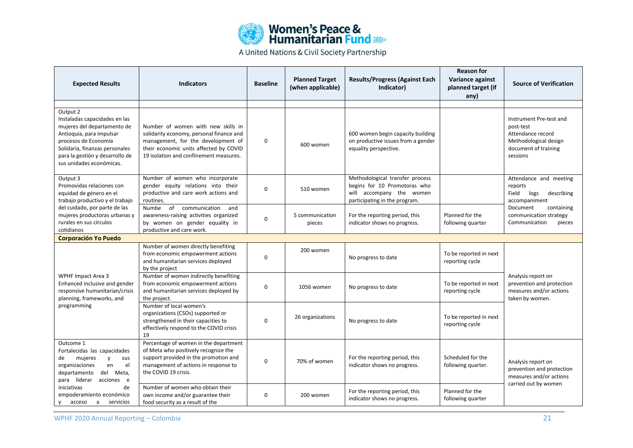

| <b>Expected Results</b>                                                                                                                                                                                                       | <b>Indicators</b>                                                                                                                                                                                        | <b>Baseline</b>                                                | <b>Planned Target</b><br>(when applicable) | <b>Results/Progress (Against Each</b><br>Indicator)                                                                          | <b>Reason for</b><br>Variance against<br>planned target (if<br>any) | <b>Source of Verification</b>                                                                                          |
|-------------------------------------------------------------------------------------------------------------------------------------------------------------------------------------------------------------------------------|----------------------------------------------------------------------------------------------------------------------------------------------------------------------------------------------------------|----------------------------------------------------------------|--------------------------------------------|------------------------------------------------------------------------------------------------------------------------------|---------------------------------------------------------------------|------------------------------------------------------------------------------------------------------------------------|
|                                                                                                                                                                                                                               |                                                                                                                                                                                                          |                                                                |                                            |                                                                                                                              |                                                                     |                                                                                                                        |
| Output 2<br>Instaladas capacidades en las<br>mujeres del departamento de<br>Antioquia, para impulsar<br>procesos de Economía<br>Solidaria, finanzas personales<br>para la gestión y desarrollo de<br>sus unidades económicas. | Number of women with new skills in<br>solidarity economy, personal finance and<br>management, for the development of<br>their economic units affected by COVID<br>19 isolation and confinement measures. | 0                                                              | 600 women                                  | 600 women begin capacity building<br>on productive issues from a gender<br>equality perspective.                             |                                                                     | Instrument Pre-test and<br>post-test<br>Attendance record<br>Methodological design<br>document of training<br>sessions |
| Output 3<br>Promovidas relaciones con<br>equidad de género en el<br>trabajo productivo y el trabajo                                                                                                                           | Number of women who incorporate<br>gender equity relations into their<br>productive and care work actions and<br>routines.                                                                               | $\Omega$                                                       | 510 women                                  | Methodological transfer process<br>begins for 10 Promotoras who<br>will accompany the women<br>participating in the program. |                                                                     | Attendance and meeting<br>reports<br>Field<br>logs<br>describing<br>accompaniment                                      |
| del cuidado, por parte de las<br>mujeres productoras urbanas y<br>rurales en sus círculos<br>cotidianos                                                                                                                       | of<br>Numbe<br>communication<br>and<br>awareness-raising activities organized<br>5 communication<br>0<br>by women on gender equality in<br>pieces<br>productive and care work.                           | For the reporting period, this<br>indicator shows no progress. | Planned for the<br>following quarter       | Document<br>containing<br>communication strategy<br>Communication<br>pieces                                                  |                                                                     |                                                                                                                        |
| <b>Corporación Yo Puedo</b>                                                                                                                                                                                                   |                                                                                                                                                                                                          |                                                                |                                            |                                                                                                                              |                                                                     |                                                                                                                        |
|                                                                                                                                                                                                                               | Number of women directly benefiting<br>from economic empowerment actions<br>and humanitarian services deployed<br>by the project                                                                         | 0                                                              | 200 women                                  | No progress to date                                                                                                          | To be reported in next<br>reporting cycle                           |                                                                                                                        |
| <b>WPHF Impact Area 3</b><br>Enhanced inclusive and gender<br>responsive humanitarian/crisis<br>planning, frameworks, and                                                                                                     | Number of women indirectly benefiting<br>from economic empowerment actions<br>and humanitarian services deployed by<br>the project.                                                                      | 0                                                              | 1056 women                                 | No progress to date                                                                                                          | To be reported in next<br>reporting cycle                           | Analysis report on<br>prevention and protection<br>measures and/or actions<br>taken by women.                          |
| programming                                                                                                                                                                                                                   | Number of local women's<br>organizations (CSOs) supported or<br>strengthened in their capacities to<br>effectively respond to the COVID crisis<br>19                                                     | 0                                                              | 26 organizations                           | No progress to date                                                                                                          | To be reported in next<br>reporting cycle                           |                                                                                                                        |
| Outcome 1<br>Fortalecidas las capacidades<br>de<br>mujeres<br>$\mathsf{V}$<br>sus<br>en<br>el<br>organizaciones<br>departamento<br>del Meta,<br>para liderar acciones e                                                       | Percentage of women in the department<br>of Meta who positively recognize the<br>support provided in the promotion and<br>management of actions in response to<br>the COVID 19 crisis.                   | 0                                                              | 70% of women                               | For the reporting period, this<br>indicator shows no progress.                                                               | Scheduled for the<br>following quarter.                             | Analysis report on<br>prevention and protection<br>measures and/or actions                                             |
| de<br>iniciativas<br>empoderamiento económico<br>servicios<br>acceso<br>a<br><b>V</b>                                                                                                                                         | Number of women who obtain their<br>own income and/or guarantee their<br>food security as a result of the                                                                                                | $\Omega$                                                       | 200 women                                  | For the reporting period, this<br>indicator shows no progress.                                                               | Planned for the<br>following quarter                                | carried out by women                                                                                                   |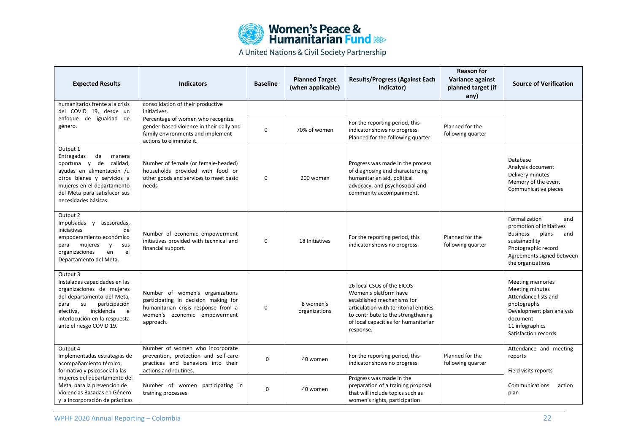

| <b>Expected Results</b>                                                                                                                                                                                                          | <b>Indicators</b>                                                                                                                                           | <b>Baseline</b> | <b>Planned Target</b><br>(when applicable) | <b>Results/Progress (Against Each</b><br>Indicator)                                                                                                                                                                    | <b>Reason for</b><br>Variance against<br>planned target (if<br>any) | <b>Source of Verification</b>                                                                                                                                                  |
|----------------------------------------------------------------------------------------------------------------------------------------------------------------------------------------------------------------------------------|-------------------------------------------------------------------------------------------------------------------------------------------------------------|-----------------|--------------------------------------------|------------------------------------------------------------------------------------------------------------------------------------------------------------------------------------------------------------------------|---------------------------------------------------------------------|--------------------------------------------------------------------------------------------------------------------------------------------------------------------------------|
| humanitarios frente a la crisis<br>del COVID 19, desde un                                                                                                                                                                        | consolidation of their productive<br>initiatives.                                                                                                           |                 |                                            |                                                                                                                                                                                                                        |                                                                     |                                                                                                                                                                                |
| enfoque de igualdad de<br>género.                                                                                                                                                                                                | Percentage of women who recognize<br>gender-based violence in their daily and<br>family environments and implement<br>actions to eliminate it.              | 0               | 70% of women                               | For the reporting period, this<br>indicator shows no progress.<br>Planned for the following quarter                                                                                                                    | Planned for the<br>following quarter                                |                                                                                                                                                                                |
| Output 1<br>Entregadas<br>de<br>manera<br>de calidad,<br>oportuna y<br>ayudas en alimentación /u<br>otros bienes y servicios a<br>mujeres en el departamento<br>del Meta para satisfacer sus<br>necesidades básicas.             | Number of female (or female-headed)<br>households provided with food or<br>other goods and services to meet basic<br>needs                                  | 0               | 200 women                                  | Progress was made in the process<br>of diagnosing and characterizing<br>humanitarian aid, political<br>advocacy, and psychosocial and<br>community accompaniment.                                                      |                                                                     | Database<br>Analysis document<br>Delivery minutes<br>Memory of the event<br>Communicative pieces                                                                               |
| Output 2<br>Impulsadas y asesoradas,<br>iniciativas<br>de<br>empoderamiento económico<br>mujeres<br>para<br>y<br>sus<br>organizaciones<br>el<br>en<br>Departamento del Meta.                                                     | Number of economic empowerment<br>initiatives provided with technical and<br>financial support.                                                             | 0               | 18 Initiatives                             | For the reporting period, this<br>indicator shows no progress.                                                                                                                                                         | Planned for the<br>following quarter                                | Formalization<br>and<br>promotion of initiatives<br>plans<br><b>Business</b><br>and<br>sustainability<br>Photographic record<br>Agreements signed between<br>the organizations |
| Output 3<br>Instaladas capacidades en las<br>organizaciones de mujeres<br>del departamento del Meta,<br>participación<br>su<br>para<br>incidencia<br>efectiva,<br>e<br>interlocución en la respuesta<br>ante el riesgo COVID 19. | Number of women's organizations<br>participating in decision making for<br>humanitarian crisis response from a<br>women's economic empowerment<br>approach. | 0               | 8 women's<br>organizations                 | 26 local CSOs of the EICOS<br>Women's platform have<br>established mechanisms for<br>articulation with territorial entities<br>to contribute to the strengthening<br>of local capacities for humanitarian<br>response. |                                                                     | Meeting memories<br>Meeting minutes<br>Attendance lists and<br>photographs<br>Development plan analysis<br>document<br>11 infographics<br>Satisfaction records                 |
| Output 4<br>Implementadas estrategias de<br>acompañamiento técnico,<br>formativo y psicosocial a las                                                                                                                             | Number of women who incorporate<br>prevention, protection and self-care<br>practices and behaviors into their<br>actions and routines.                      | 0               | 40 women                                   | For the reporting period, this<br>indicator shows no progress.                                                                                                                                                         | Planned for the<br>following quarter                                | Attendance and meeting<br>reports<br>Field visits reports                                                                                                                      |
| mujeres del departamento del<br>Meta, para la prevención de<br>Violencias Basadas en Género<br>y la incorporación de prácticas                                                                                                   | Number of women participating in<br>training processes                                                                                                      | $\mathbf 0$     | 40 women                                   | Progress was made in the<br>preparation of a training proposal<br>that will include topics such as<br>women's rights, participation                                                                                    |                                                                     | Communications<br>action<br>plan                                                                                                                                               |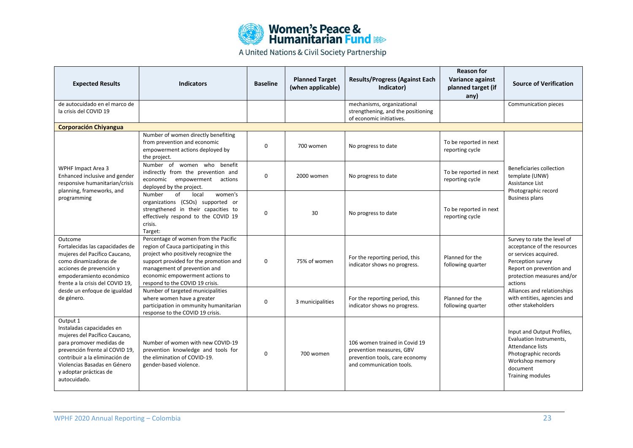

| <b>Expected Results</b>                                                                                                                                                                                                                          | <b>Indicators</b>                                                                                                                                                                                                                                                     | <b>Baseline</b> | <b>Planned Target</b><br>(when applicable) | <b>Results/Progress (Against Each</b><br>Indicator)                                                                     | <b>Reason for</b><br>Variance against<br>planned target (if<br>any) | <b>Source of Verification</b>                                                                                                                                                                                                                                                                  |  |  |  |
|--------------------------------------------------------------------------------------------------------------------------------------------------------------------------------------------------------------------------------------------------|-----------------------------------------------------------------------------------------------------------------------------------------------------------------------------------------------------------------------------------------------------------------------|-----------------|--------------------------------------------|-------------------------------------------------------------------------------------------------------------------------|---------------------------------------------------------------------|------------------------------------------------------------------------------------------------------------------------------------------------------------------------------------------------------------------------------------------------------------------------------------------------|--|--|--|
| de autocuidado en el marco de<br>la crisis del COVID 19                                                                                                                                                                                          |                                                                                                                                                                                                                                                                       |                 |                                            | mechanisms, organizational<br>strengthening, and the positioning<br>of economic initiatives.                            |                                                                     | Communication pieces                                                                                                                                                                                                                                                                           |  |  |  |
| <b>Corporación Chiyangua</b>                                                                                                                                                                                                                     |                                                                                                                                                                                                                                                                       |                 |                                            |                                                                                                                         |                                                                     |                                                                                                                                                                                                                                                                                                |  |  |  |
| WPHF Impact Area 3<br>Enhanced inclusive and gender<br>responsive humanitarian/crisis<br>planning, frameworks, and<br>programming                                                                                                                | Number of women directly benefiting<br>from prevention and economic<br>empowerment actions deployed by<br>the project.                                                                                                                                                | 0               | 700 women                                  | No progress to date                                                                                                     | To be reported in next<br>reporting cycle                           | Beneficiaries collection<br>template (UNW)<br>Assistance List<br>Photographic record<br><b>Business plans</b><br>Survey to rate the level of<br>acceptance of the resources<br>or services acquired.<br>Perception survey<br>Report on prevention and<br>protection measures and/or<br>actions |  |  |  |
|                                                                                                                                                                                                                                                  | Number of women who benefit<br>indirectly from the prevention and<br>empowerment<br>economic<br>actions<br>deployed by the project.                                                                                                                                   | 0               | 2000 women                                 | No progress to date                                                                                                     | To be reported in next<br>reporting cycle                           |                                                                                                                                                                                                                                                                                                |  |  |  |
|                                                                                                                                                                                                                                                  | Number<br>of<br>local<br>women's<br>organizations (CSOs) supported or<br>strengthened in their capacities to<br>effectively respond to the COVID 19<br>crisis.<br>Target:                                                                                             | 0               | 30                                         | No progress to date                                                                                                     | To be reported in next<br>reporting cycle                           |                                                                                                                                                                                                                                                                                                |  |  |  |
| Outcome<br>Fortalecidas las capacidades de<br>mujeres del Pacífico Caucano,<br>como dinamizadoras de<br>acciones de prevención y<br>empoderamiento económico<br>frente a la crisis del COVID 19,<br>desde un enfoque de igualdad<br>de género.   | Percentage of women from the Pacific<br>region of Cauca participating in this<br>project who positively recognize the<br>support provided for the promotion and<br>management of prevention and<br>economic empowerment actions to<br>respond to the COVID 19 crisis. | $\Omega$        | 75% of women                               | For the reporting period, this<br>indicator shows no progress.                                                          | Planned for the<br>following quarter                                |                                                                                                                                                                                                                                                                                                |  |  |  |
|                                                                                                                                                                                                                                                  | Number of targeted municipalities<br>where women have a greater<br>participation in ommunity humanitarian<br>response to the COVID 19 crisis.                                                                                                                         | 0               | 3 municipalities                           | For the reporting period, this<br>indicator shows no progress.                                                          | Planned for the<br>following quarter                                | Alliances and relationships<br>with entities, agencies and<br>other stakeholders                                                                                                                                                                                                               |  |  |  |
| Output 1<br>Instaladas capacidades en<br>mujeres del Pacífico Caucano,<br>para promover medidas de<br>prevención frente al COVID 19,<br>contribuir a la eliminación de<br>Violencias Basadas en Género<br>y adoptar prácticas de<br>autocuidado. | Number of women with new COVID-19<br>prevention knowledge and tools for<br>the elimination of COVID-19.<br>gender-based violence.                                                                                                                                     | $\Omega$        | 700 women                                  | 106 women trained in Covid 19<br>prevention measures, GBV<br>prevention tools, care economy<br>and communication tools. |                                                                     | Input and Output Profiles,<br>Evaluation Instruments,<br>Attendance lists<br>Photographic records<br>Workshop memory<br>document<br><b>Training modules</b>                                                                                                                                    |  |  |  |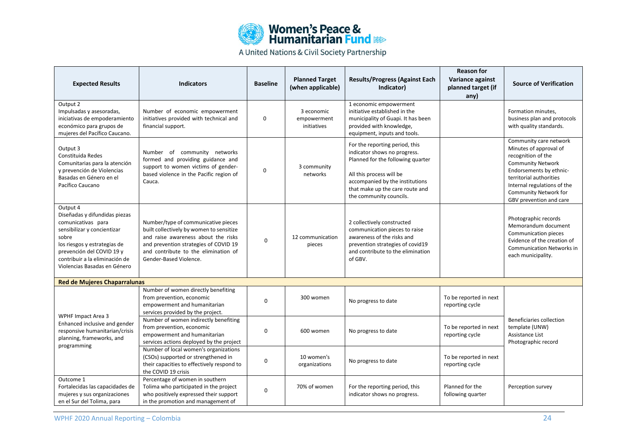| <b>Women's Peace &amp;<br/>Humanitarian Fund &amp; Regist</b> |
|---------------------------------------------------------------|
|                                                               |

| <b>Expected Results</b>                                                                                                                                                                                                                | <b>Indicators</b>                                                                                                                                                                                                                 | <b>Baseline</b> | <b>Planned Target</b><br>(when applicable) | <b>Results/Progress (Against Each</b><br>Indicator)                                                                                                                                                                              | <b>Reason for</b><br>Variance against<br>planned target (if<br>any) | <b>Source of Verification</b>                                                                                                                                                                                                               |
|----------------------------------------------------------------------------------------------------------------------------------------------------------------------------------------------------------------------------------------|-----------------------------------------------------------------------------------------------------------------------------------------------------------------------------------------------------------------------------------|-----------------|--------------------------------------------|----------------------------------------------------------------------------------------------------------------------------------------------------------------------------------------------------------------------------------|---------------------------------------------------------------------|---------------------------------------------------------------------------------------------------------------------------------------------------------------------------------------------------------------------------------------------|
| Output 2<br>Impulsadas y asesoradas,<br>iniciativas de empoderamiento<br>económico para grupos de<br>mujeres del Pacífico Caucano.                                                                                                     | Number of economic empowerment<br>initiatives provided with technical and<br>financial support.                                                                                                                                   | $\Omega$        | 3 economic<br>empowerment<br>initiatives   | 1 economic empowerment<br>initiative established in the<br>municipality of Guapi. It has been<br>provided with knowledge,<br>equipment, inputs and tools.                                                                        |                                                                     | Formation minutes,<br>business plan and protocols<br>with quality standards.                                                                                                                                                                |
| Output 3<br>Constituida Redes<br>Comunitarias para la atención<br>y prevención de Violencias<br>Basadas en Género en el<br>Pacífico Caucano                                                                                            | Number of community networks<br>formed and providing guidance and<br>support to women victims of gender-<br>based violence in the Pacific region of<br>Cauca.                                                                     | 0               | 3 community<br>networks                    | For the reporting period, this<br>indicator shows no progress.<br>Planned for the following quarter<br>All this process will be<br>accompanied by the institutions<br>that make up the care route and<br>the community councils. |                                                                     | Community care network<br>Minutes of approval of<br>recognition of the<br><b>Community Network</b><br>Endorsements by ethnic-<br>territorial authorities<br>Internal regulations of the<br>Community Network for<br>GBV prevention and care |
| Output 4<br>Diseñadas y difundidas piezas<br>comunicativas para<br>sensibilizar y concientizar<br>sobre<br>los riesgos y estrategias de<br>prevención del COVID 19 y<br>contribuir a la eliminación de<br>Violencias Basadas en Género | Number/type of communicative pieces<br>built collectively by women to sensitize<br>and raise awareness about the risks<br>and prevention strategies of COVID 19<br>and contribute to the elimination of<br>Gender-Based Violence. | 0               | 12 communication<br>pieces                 | 2 collectively constructed<br>communication pieces to raise<br>awareness of the risks and<br>prevention strategies of covid19<br>and contribute to the elimination<br>of GBV.                                                    |                                                                     | Photographic records<br>Memorandum document<br>Communication pieces<br>Evidence of the creation of<br><b>Communication Networks in</b><br>each municipality.                                                                                |
| <b>Red de Mujeres Chaparralunas</b>                                                                                                                                                                                                    |                                                                                                                                                                                                                                   |                 |                                            |                                                                                                                                                                                                                                  |                                                                     |                                                                                                                                                                                                                                             |
| <b>WPHF Impact Area 3</b>                                                                                                                                                                                                              | Number of women directly benefiting<br>from prevention, economic<br>empowerment and humanitarian<br>services provided by the project.                                                                                             | 0               | 300 women                                  | No progress to date                                                                                                                                                                                                              | To be reported in next<br>reporting cycle                           |                                                                                                                                                                                                                                             |
| Enhanced inclusive and gender<br>responsive humanitarian/crisis<br>planning, frameworks, and<br>programming                                                                                                                            | Number of women indirectly benefiting<br>from prevention, economic<br>empowerment and humanitarian<br>services actions deployed by the project                                                                                    | 0               | 600 women                                  | No progress to date                                                                                                                                                                                                              | To be reported in next<br>reporting cycle                           | Beneficiaries collection<br>template (UNW)<br>Assistance List<br>Photographic record                                                                                                                                                        |
|                                                                                                                                                                                                                                        | Number of local women's organizations<br>(CSOs) supported or strengthened in<br>their capacities to effectively respond to<br>the COVID 19 crisis                                                                                 | 0               | 10 women's<br>organizations                | No progress to date                                                                                                                                                                                                              | To be reported in next<br>reporting cycle                           |                                                                                                                                                                                                                                             |
| Outcome 1<br>Fortalecidas las capacidades de<br>mujeres y sus organizaciones<br>en el Sur del Tolima, para                                                                                                                             | Percentage of women in southern<br>Tolima who participated in the project<br>who positively expressed their support<br>in the promotion and management of                                                                         | 0               | 70% of women                               | For the reporting period, this<br>indicator shows no progress.                                                                                                                                                                   | Planned for the<br>following quarter                                | Perception survey                                                                                                                                                                                                                           |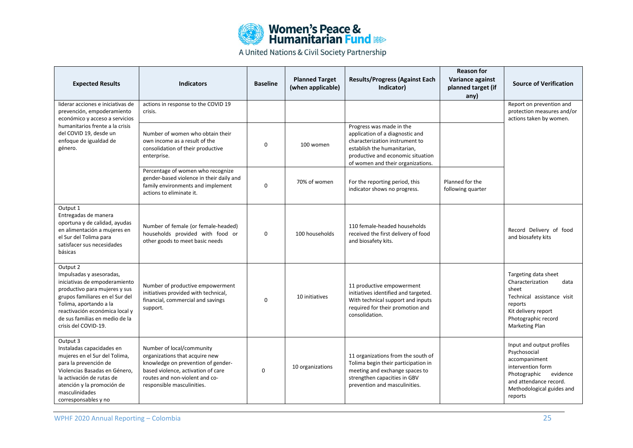

| <b>Expected Results</b>                                                                                                                                                                                                                                         | <b>Indicators</b>                                                                                                                                                                                       | <b>Baseline</b> | <b>Planned Target</b><br>(when applicable) | <b>Results/Progress (Against Each</b><br>Indicator)                                                                                                                                                    | <b>Reason for</b><br>Variance against<br>planned target (if<br>any) | <b>Source of Verification</b>                                                                                                                                                 |
|-----------------------------------------------------------------------------------------------------------------------------------------------------------------------------------------------------------------------------------------------------------------|---------------------------------------------------------------------------------------------------------------------------------------------------------------------------------------------------------|-----------------|--------------------------------------------|--------------------------------------------------------------------------------------------------------------------------------------------------------------------------------------------------------|---------------------------------------------------------------------|-------------------------------------------------------------------------------------------------------------------------------------------------------------------------------|
| liderar acciones e iniciativas de<br>prevención, empoderamiento<br>económico y acceso a servicios                                                                                                                                                               | actions in response to the COVID 19<br>crisis.                                                                                                                                                          |                 |                                            |                                                                                                                                                                                                        |                                                                     | Report on prevention and<br>protection measures and/or<br>actions taken by women.                                                                                             |
| humanitarios frente a la crisis<br>del COVID 19. desde un<br>enfoque de igualdad de<br>género.                                                                                                                                                                  | Number of women who obtain their<br>own income as a result of the<br>consolidation of their productive<br>enterprise.                                                                                   | $\Omega$        | 100 women                                  | Progress was made in the<br>application of a diagnostic and<br>characterization instrument to<br>establish the humanitarian,<br>productive and economic situation<br>of women and their organizations. |                                                                     |                                                                                                                                                                               |
|                                                                                                                                                                                                                                                                 | Percentage of women who recognize<br>gender-based violence in their daily and<br>family environments and implement<br>actions to eliminate it.                                                          | $\Omega$        | 70% of women                               | For the reporting period, this<br>indicator shows no progress.                                                                                                                                         | Planned for the<br>following quarter                                |                                                                                                                                                                               |
| Output 1<br>Entregadas de manera<br>oportuna y de calidad, ayudas<br>en alimentación a mujeres en<br>el Sur del Tolima para<br>satisfacer sus necesidades<br>básicas                                                                                            | Number of female (or female-headed)<br>households provided with food or<br>other goods to meet basic needs                                                                                              | $\Omega$        | 100 households                             | 110 female-headed households<br>received the first delivery of food<br>and biosafety kits.                                                                                                             |                                                                     | Record Delivery of food<br>and biosafety kits                                                                                                                                 |
| Output 2<br>Impulsadas y asesoradas,<br>iniciativas de empoderamiento<br>productivo para mujeres y sus<br>grupos familiares en el Sur del<br>Tolima, aportando a la<br>reactivación económica local y<br>de sus familias en medio de la<br>crisis del COVID-19. | Number of productive empowerment<br>initiatives provided with technical,<br>financial, commercial and savings<br>support.                                                                               | 0               | 10 initiatives                             | 11 productive empowerment<br>initiatives identified and targeted.<br>With technical support and inputs<br>required for their promotion and<br>consolidation.                                           |                                                                     | Targeting data sheet<br>Characterization<br>data<br>sheet<br>Technical assistance visit<br>reports<br>Kit delivery report<br>Photographic record<br>Marketing Plan            |
| Output 3<br>Instaladas capacidades en<br>mujeres en el Sur del Tolima,<br>para la prevención de<br>Violencias Basadas en Género.<br>la activación de rutas de<br>atención y la promoción de<br>masculinidades<br>corresponsables y no                           | Number of local/community<br>organizations that acquire new<br>knowledge on prevention of gender-<br>based violence, activation of care<br>routes and non-violent and co-<br>responsible masculinities. | $\mathbf 0$     | 10 organizations                           | 11 organizations from the south of<br>Tolima begin their participation in<br>meeting and exchange spaces to<br>strengthen capacities in GBV<br>prevention and masculinities.                           |                                                                     | Input and output profiles<br>Psychosocial<br>accompaniment<br>intervention form<br>Photographic<br>evidence<br>and attendance record.<br>Methodological guides and<br>reports |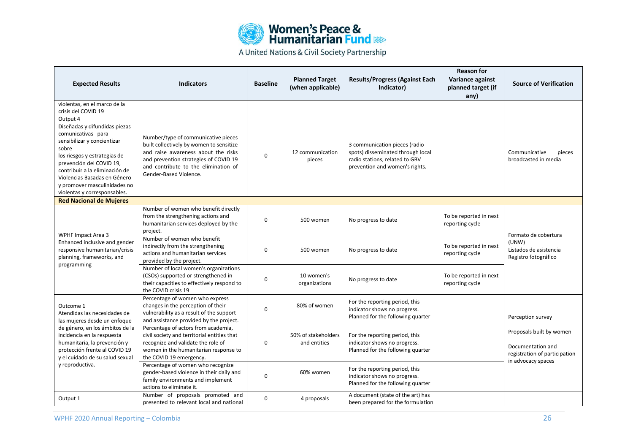

| <b>Expected Results</b>                                                                                                                                                                                                                                                                               | <b>Indicators</b>                                                                                                                                                                                                                 | <b>Baseline</b> | <b>Planned Target</b><br>(when applicable) | <b>Results/Progress (Against Each</b><br>Indicator)                                                                                    | <b>Reason for</b><br>Variance against<br>planned target (if<br>any) | <b>Source of Verification</b>                                                                        |
|-------------------------------------------------------------------------------------------------------------------------------------------------------------------------------------------------------------------------------------------------------------------------------------------------------|-----------------------------------------------------------------------------------------------------------------------------------------------------------------------------------------------------------------------------------|-----------------|--------------------------------------------|----------------------------------------------------------------------------------------------------------------------------------------|---------------------------------------------------------------------|------------------------------------------------------------------------------------------------------|
| violentas, en el marco de la<br>crisis del COVID 19                                                                                                                                                                                                                                                   |                                                                                                                                                                                                                                   |                 |                                            |                                                                                                                                        |                                                                     |                                                                                                      |
| Output 4<br>Diseñadas y difundidas piezas<br>comunicativas para<br>sensibilizar y concientizar<br>sobre<br>los riesgos y estrategias de<br>prevención del COVID 19,<br>contribuir a la eliminación de<br>Violencias Basadas en Género<br>y promover masculinidades no<br>violentas y corresponsables. | Number/type of communicative pieces<br>built collectively by women to sensitize<br>and raise awareness about the risks<br>and prevention strategies of COVID 19<br>and contribute to the elimination of<br>Gender-Based Violence. | 0               | 12 communication<br>pieces                 | 3 communication pieces (radio<br>spots) disseminated through local<br>radio stations, related to GBV<br>prevention and women's rights. |                                                                     | Communicative<br>pieces<br>broadcasted in media                                                      |
| <b>Red Nacional de Mujeres</b>                                                                                                                                                                                                                                                                        |                                                                                                                                                                                                                                   |                 |                                            |                                                                                                                                        |                                                                     |                                                                                                      |
|                                                                                                                                                                                                                                                                                                       | Number of women who benefit directly<br>from the strengthening actions and<br>humanitarian services deployed by the<br>project.                                                                                                   | 0               | 500 women                                  | No progress to date                                                                                                                    | To be reported in next<br>reporting cycle                           |                                                                                                      |
| <b>WPHF Impact Area 3</b><br>Enhanced inclusive and gender<br>responsive humanitarian/crisis<br>planning, frameworks, and                                                                                                                                                                             | Number of women who benefit<br>indirectly from the strengthening<br>actions and humanitarian services<br>provided by the project.                                                                                                 | 0               | 500 women                                  | No progress to date                                                                                                                    | To be reported in next<br>reporting cycle                           | Formato de cobertura<br>(UNW)<br>Listados de asistencia<br>Registro fotográfico                      |
| programming                                                                                                                                                                                                                                                                                           | Number of local women's organizations<br>(CSOs) supported or strengthened in<br>their capacities to effectively respond to<br>the COVID crisis 19                                                                                 | 0               | 10 women's<br>organizations                | No progress to date                                                                                                                    | To be reported in next<br>reporting cycle                           |                                                                                                      |
| Outcome 1<br>Atendidas las necesidades de<br>las mujeres desde un enfoque                                                                                                                                                                                                                             | Percentage of women who express<br>changes in the perception of their<br>vulnerability as a result of the support<br>and assistance provided by the project.                                                                      | $\Omega$        | 80% of women                               | For the reporting period, this<br>indicator shows no progress.<br>Planned for the following quarter                                    |                                                                     | Perception survey                                                                                    |
| de género, en los ámbitos de la<br>incidencia en la respuesta<br>humanitaria, la prevención y<br>protección frente al COVID 19<br>y el cuidado de su salud sexual                                                                                                                                     | Percentage of actors from academia,<br>civil society and territorial entities that<br>recognize and validate the role of<br>women in the humanitarian response to<br>the COVID 19 emergency.                                      | 0               | 50% of stakeholders<br>and entities        | For the reporting period, this<br>indicator shows no progress.<br>Planned for the following quarter                                    |                                                                     | Proposals built by women<br>Documentation and<br>registration of participation<br>in advocacy spaces |
| y reproductiva.                                                                                                                                                                                                                                                                                       | Percentage of women who recognize<br>gender-based violence in their daily and<br>family environments and implement<br>actions to eliminate it.                                                                                    | 0               | 60% women                                  | For the reporting period, this<br>indicator shows no progress.<br>Planned for the following quarter                                    |                                                                     |                                                                                                      |
| Output 1                                                                                                                                                                                                                                                                                              | Number of proposals promoted and<br>presented to relevant local and national                                                                                                                                                      | 0               | 4 proposals                                | A document (state of the art) has<br>been prepared for the formulation                                                                 |                                                                     |                                                                                                      |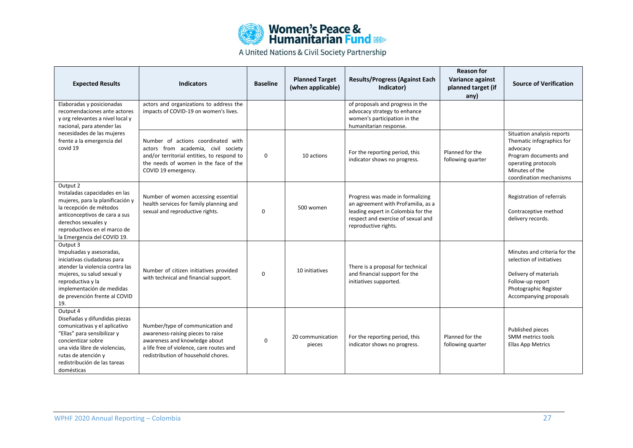| <b>Women's Peace &amp;<br/>Humanitarian Fund &amp; Res</b> |
|------------------------------------------------------------|
|                                                            |

| <b>Expected Results</b>                                                                                                                                                                                                               | <b>Indicators</b>                                                                                                                                                                         | <b>Baseline</b> | <b>Planned Target</b><br>(when applicable) | <b>Results/Progress (Against Each</b><br>Indicator)                                                                                                                        | <b>Reason for</b><br>Variance against<br>planned target (if<br>any) | <b>Source of Verification</b>                                                                                                                                    |
|---------------------------------------------------------------------------------------------------------------------------------------------------------------------------------------------------------------------------------------|-------------------------------------------------------------------------------------------------------------------------------------------------------------------------------------------|-----------------|--------------------------------------------|----------------------------------------------------------------------------------------------------------------------------------------------------------------------------|---------------------------------------------------------------------|------------------------------------------------------------------------------------------------------------------------------------------------------------------|
| Elaboradas y posicionadas<br>recomendaciones ante actores<br>y org relevantes a nivel local y<br>nacional, para atender las                                                                                                           | actors and organizations to address the<br>impacts of COVID-19 on women's lives.                                                                                                          |                 |                                            | of proposals and progress in the<br>advocacy strategy to enhance<br>women's participation in the<br>humanitarian response.                                                 |                                                                     |                                                                                                                                                                  |
| necesidades de las mujeres<br>frente a la emergencia del<br>covid 19                                                                                                                                                                  | Number of actions coordinated with<br>actors from academia, civil society<br>and/or territorial entities, to respond to<br>the needs of women in the face of the<br>COVID 19 emergency.   | 0               | 10 actions                                 | For the reporting period, this<br>indicator shows no progress.                                                                                                             | Planned for the<br>following quarter                                | Situation analysis reports<br>Thematic infographics for<br>advocacy<br>Program documents and<br>operating protocols<br>Minutes of the<br>coordination mechanisms |
| Output 2<br>Instaladas capacidades en las<br>mujeres, para la planificación y<br>la recepción de métodos<br>anticonceptivos de cara a sus<br>derechos sexuales y<br>reproductivos en el marco de<br>la Emergencia del COVID 19.       | Number of women accessing essential<br>health services for family planning and<br>sexual and reproductive rights.                                                                         | $\mathbf 0$     | 500 women                                  | Progress was made in formalizing<br>an agreement with ProFamilia, as a<br>leading expert in Colombia for the<br>respect and exercise of sexual and<br>reproductive rights. |                                                                     | Registration of referrals<br>Contraceptive method<br>delivery records.                                                                                           |
| Output 3<br>Impulsadas y asesoradas,<br>iniciativas ciudadanas para<br>atender la violencia contra las<br>mujeres, su salud sexual y<br>reproductiva y la<br>implementación de medidas<br>de prevención frente al COVID<br>19.        | Number of citizen initiatives provided<br>with technical and financial support.                                                                                                           | $\Omega$        | 10 initiatives                             | There is a proposal for technical<br>and financial support for the<br>initiatives supported.                                                                               |                                                                     | Minutes and criteria for the<br>selection of initiatives<br>Delivery of materials<br>Follow-up report<br>Photographic Register<br>Accompanying proposals         |
| Output 4<br>Diseñadas y difundidas piezas<br>comunicativas y el aplicativo<br>"Ellas" para sensibilizar y<br>concientizar sobre<br>una vida libre de violencias,<br>rutas de atención y<br>redistribución de las tareas<br>domésticas | Number/type of communication and<br>awareness-raising pieces to raise<br>awareness and knowledge about<br>a life free of violence, care routes and<br>redistribution of household chores. | $\Omega$        | 20 communication<br>pieces                 | For the reporting period, this<br>indicator shows no progress.                                                                                                             | Planned for the<br>following quarter                                | Published pieces<br>SMM metrics tools<br><b>Ellas App Metrics</b>                                                                                                |